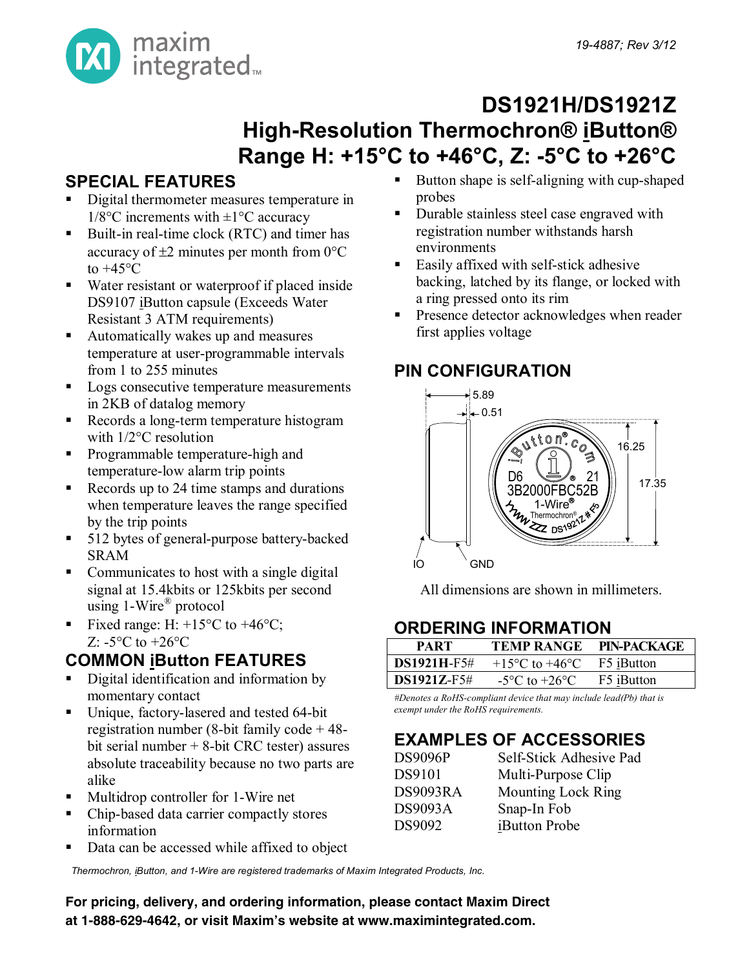

## **DS1921H/DS1921Z High-Resolution Thermochron® iButton® Range H: +15°C to +46°C, Z: -5°C to +26°C**

### **SPECIAL FEATURES**

- Digital thermometer measures temperature in  $1/8$ °C increments with  $\pm 1$ °C accuracy
- Built-in real-time clock (RTC) and timer has accuracy of  $\pm 2$  minutes per month from 0 $^{\circ}$ C to  $+45^{\circ}$ C
- Water resistant or waterproof if placed inside DS9107 iButton capsule (Exceeds Water Resistant 3 ATM requirements)
- Automatically wakes up and measures temperature at user-programmable intervals from 1 to 255 minutes
- Logs consecutive temperature measurements in 2KB of datalog memory
- Records a long-term temperature histogram with 1/2°C resolution
- **Programmable temperature-high and** temperature-low alarm trip points
- Records up to 24 time stamps and durations when temperature leaves the range specified by the trip points
- 512 bytes of general-purpose battery-backed SRAM
- signal at 15.4kbits or 125kbits per second • Communicates to host with a single digital using 1-Wire® protocol
- Fixed range: H:  $+15^{\circ}$ C to  $+46^{\circ}$ C; Z:  $-5^{\circ}$ C to  $+26^{\circ}$ C

### **COMMON iButton FEATURES**

- Digital identification and information by momentary contact
- Unique, factory-lasered and tested 64-bit registration number (8-bit family code + 48 bit serial number + 8-bit CRC tester) assures absolute traceability because no two parts are alike
- **Multidrop controller for 1-Wire net**
- **Pin Configurations appear at end of data sheet.** Chip-based data carrier compactly stores information
- **•** Data can be accessed while affixed to object

Button shape is self-aligning with cup-shaped probes

- Durable stainless steel case engraved with registration number withstands harsh environments
- Easily affixed with self-stick adhesive backing, latched by its flange, or locked with a ring pressed onto its rim
- **Presence detector acknowledges when reader** first applies voltage

#### **PIN CONFIGURATION**



All dimensions are shown in millimeters.

#### **ORDERING INFORMATION**

| PART               | <b>TEMP RANGE</b>                  | PIN-PACKAGE |
|--------------------|------------------------------------|-------------|
| <b>DS1921H-F5#</b> | $+15^{\circ}$ C to $+46^{\circ}$ C | F5 iButton  |
| $DS1921Z-F5#$      | $-5^{\circ}$ C to $+26^{\circ}$ C  | F5 iButton  |

*#Denotes a RoHS-compliant device that may include lead(Pb) that is exempt under the RoHS requirements.*

### **EXAMPLES OF ACCESSORIES**

| <b>DS9096P</b> | Self-Stick Adhesive Pad   |
|----------------|---------------------------|
| DS9101         | Multi-Purpose Clip        |
| DS9093RA       | <b>Mounting Lock Ring</b> |
| <b>DS9093A</b> | Snap-In Fob               |
| DS9092         | iButton Probe             |

Thermochron, *iButton, and 1-Wire are registered trademarks of Maxim Integrated Products, Inc.* 

For pricing, delivery, and ordering information, please contact Maxim Direct at 1-888-629-4642, or visit Maxim's website at www.maximintegrated.com.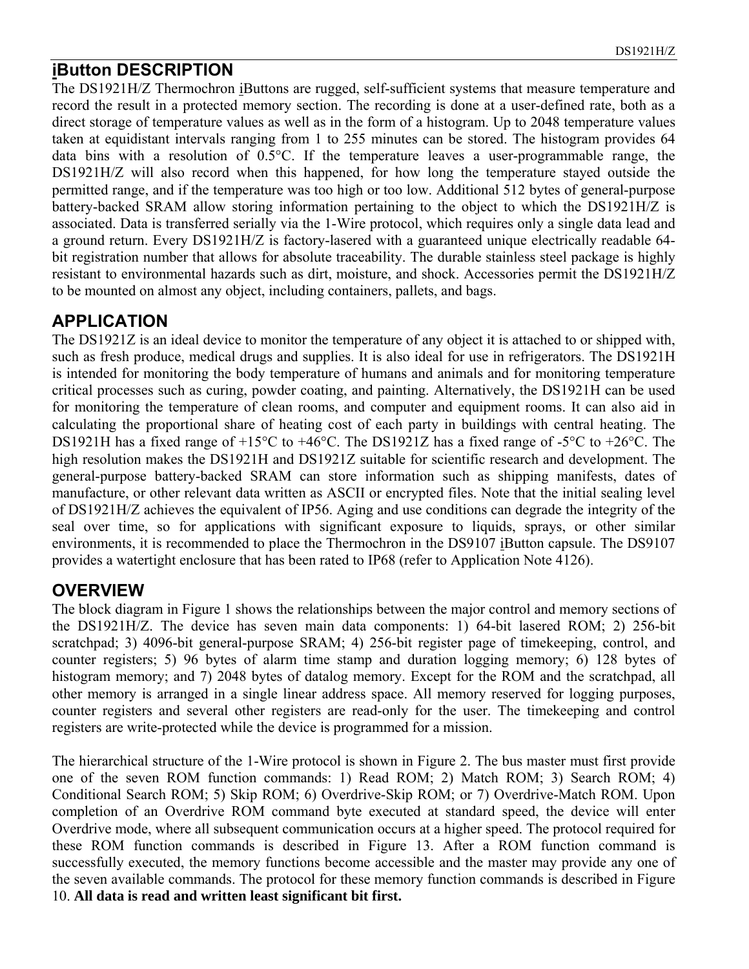#### **iButton DESCRIPTION**

The DS1921H/Z Thermochron iButtons are rugged, self-sufficient systems that measure temperature and record the result in a protected memory section. The recording is done at a user-defined rate, both as a direct storage of temperature values as well as in the form of a histogram. Up to 2048 temperature values taken at equidistant intervals ranging from 1 to 255 minutes can be stored. The histogram provides 64 data bins with a resolution of 0.5°C. If the temperature leaves a user-programmable range, the DS1921H/Z will also record when this happened, for how long the temperature stayed outside the permitted range, and if the temperature was too high or too low. Additional 512 bytes of general-purpose battery-backed SRAM allow storing information pertaining to the object to which the DS1921H/Z is associated. Data is transferred serially via the 1-Wire protocol, which requires only a single data lead and a ground return. Every DS1921H/Z is factory-lasered with a guaranteed unique electrically readable 64 bit registration number that allows for absolute traceability. The durable stainless steel package is highly resistant to environmental hazards such as dirt, moisture, and shock. Accessories permit the DS1921H/Z to be mounted on almost any object, including containers, pallets, and bags.

#### **APPLICATION**

The DS1921Z is an ideal device to monitor the temperature of any object it is attached to or shipped with, such as fresh produce, medical drugs and supplies. It is also ideal for use in refrigerators. The DS1921H is intended for monitoring the body temperature of humans and animals and for monitoring temperature critical processes such as curing, powder coating, and painting. Alternatively, the DS1921H can be used for monitoring the temperature of clean rooms, and computer and equipment rooms. It can also aid in calculating the proportional share of heating cost of each party in buildings with central heating. The DS1921H has a fixed range of  $+15^{\circ}$ C to  $+46^{\circ}$ C. The DS1921Z has a fixed range of -5 $^{\circ}$ C to  $+26^{\circ}$ C. The high resolution makes the DS1921H and DS1921Z suitable for scientific research and development. The general-purpose battery-backed SRAM can store information such as shipping manifests, dates of manufacture, or other relevant data written as ASCII or encrypted files. Note that the initial sealing level of DS1921H/Z achieves the equivalent of IP56. Aging and use conditions can degrade the integrity of the seal over time, so for applications with significant exposure to liquids, sprays, or other similar environments, it is recommended to place the Thermochron in the DS9107 iButton capsule. The DS9107 provides a watertight enclosure that has been rated to IP68 (refer to Application Note 4126).

#### **OVERVIEW**

The block diagram in Figure 1 shows the relationships between the major control and memory sections of the DS1921H/Z. The device has seven main data components: 1) 64-bit lasered ROM; 2) 256-bit scratchpad; 3) 4096-bit general-purpose SRAM; 4) 256-bit register page of timekeeping, control, and counter registers; 5) 96 bytes of alarm time stamp and duration logging memory; 6) 128 bytes of histogram memory; and 7) 2048 bytes of datalog memory. Except for the ROM and the scratchpad, all other memory is arranged in a single linear address space. All memory reserved for logging purposes, counter registers and several other registers are read-only for the user. The timekeeping and control registers are write-protected while the device is programmed for a mission.

The hierarchical structure of the 1-Wire protocol is shown in Figure 2. The bus master must first provide one of the seven ROM function commands: 1) Read ROM; 2) Match ROM; 3) Search ROM; 4) Conditional Search ROM; 5) Skip ROM; 6) Overdrive-Skip ROM; or 7) Overdrive-Match ROM. Upon completion of an Overdrive ROM command byte executed at standard speed, the device will enter Overdrive mode, where all subsequent communication occurs at a higher speed. The protocol required for these ROM function commands is described in Figure 13. After a ROM function command is successfully executed, the memory functions become accessible and the master may provide any one of the seven available commands. The protocol for these memory function commands is described in Figure 10. **All data is read and written least significant bit first.**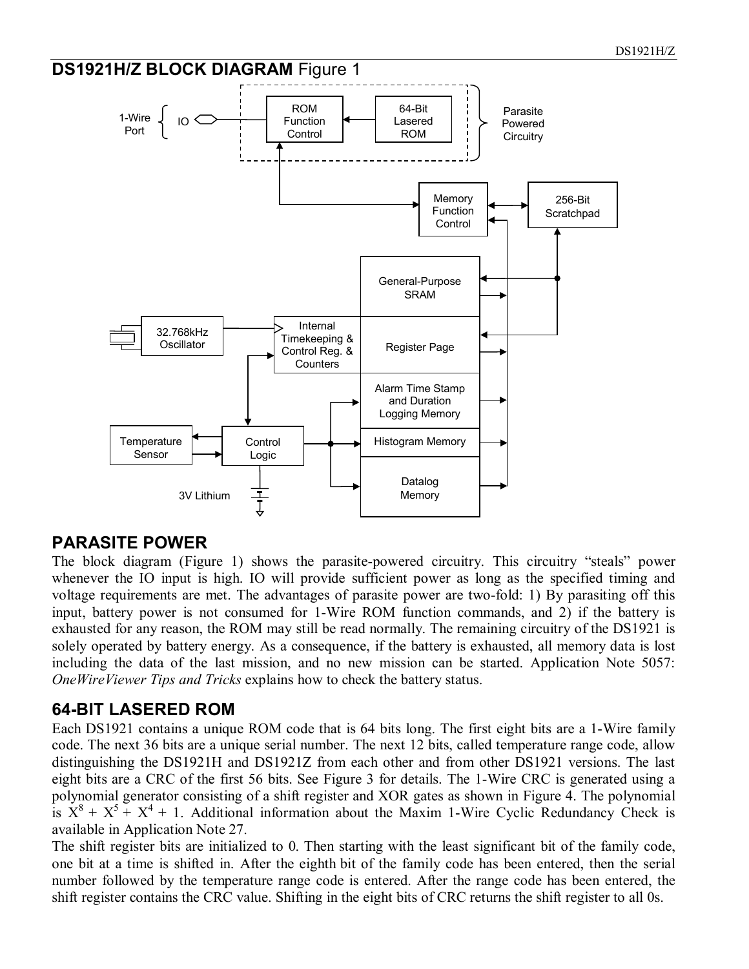

#### **PARASITE POWER**

The block diagram (Figure 1) shows the parasite-powered circuitry. This circuitry "steals" power whenever the IO input is high. IO will provide sufficient power as long as the specified timing and voltage requirements are met. The advantages of parasite power are two-fold: 1) By parasiting off this input, battery power is not consumed for 1-Wire ROM function commands, and 2) if the battery is exhausted for any reason, the ROM may still be read normally. The remaining circuitry of the DS1921 is solely operated by battery energy. As a consequence, if the battery is exhausted, all memory data is lost including the data of the last mission, and no new mission can be started. Application Note 5057: *OneWireViewer Tips and Tricks* explains how to check the battery status.

#### **64-BIT LASERED ROM**

Each DS1921 contains a unique ROM code that is 64 bits long. The first eight bits are a 1-Wire family code. The next 36 bits are a unique serial number. The next 12 bits, called temperature range code, allow distinguishing the DS1921H and DS1921Z from each other and from other DS1921 versions. The last eight bits are a CRC of the first 56 bits. See Figure 3 for details. The 1-Wire CRC is generated using a polynomial generator consisting of a shift register and XOR gates as shown in Figure 4. The polynomial is  $X^8 + X^5 + X^4 + 1$ . Additional information about the Maxim 1-Wire Cyclic Redundancy Check is available in Application Note 27.

The shift register bits are initialized to 0. Then starting with the least significant bit of the family code, one bit at a time is shifted in. After the eighth bit of the family code has been entered, then the serial number followed by the temperature range code is entered. After the range code has been entered, the shift register contains the CRC value. Shifting in the eight bits of CRC returns the shift register to all 0s.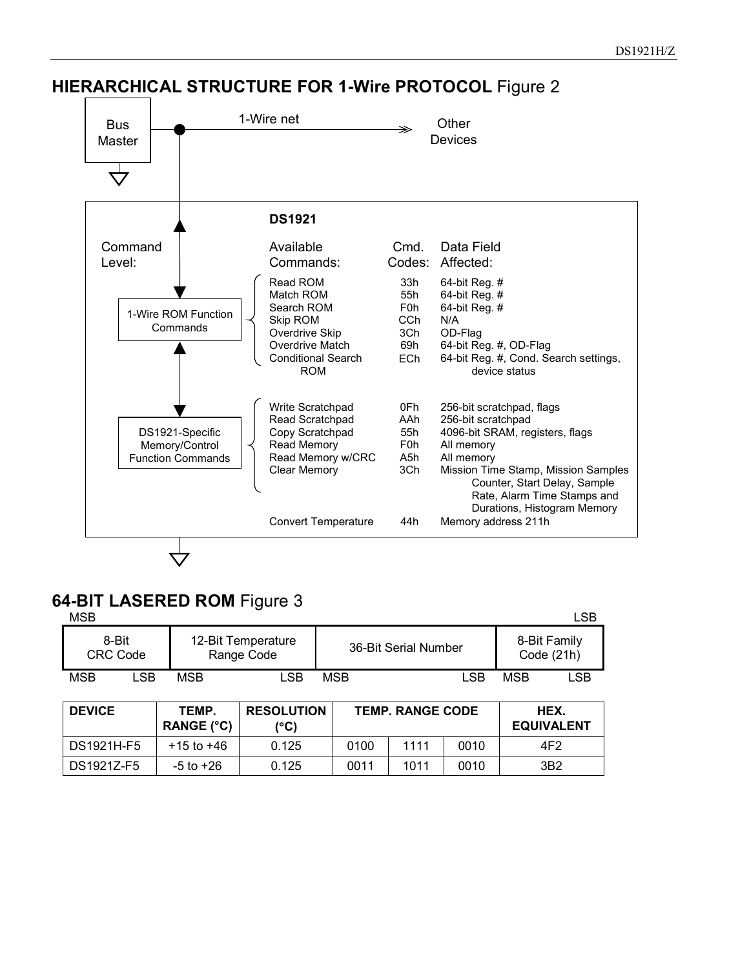

#### **HIERARCHICAL STRUCTURE FOR 1-Wire PROTOCOL** Figure 2

#### **64-BIT LASERED ROM** Figure 3

| <b>MSB</b> |                          |            |                                  |            |                      |     | ∟SB                        |
|------------|--------------------------|------------|----------------------------------|------------|----------------------|-----|----------------------------|
|            | 8-Bit<br><b>CRC Code</b> |            | 12-Bit Temperature<br>Range Code |            | 36-Bit Serial Number |     | 8-Bit Family<br>Code (21h) |
| <b>MSB</b> | LSB                      | <b>MSB</b> | .SB                              | <b>MSB</b> | LSB                  | MSB | LSB                        |

| <b>DEVICE</b> | TEMP.<br><b>RANGE (°C)</b> | <b>RESOLUTION</b><br>(°C) | <b>TEMP. RANGE CODE</b> |      |      | HEX.<br><b>EQUIVALENT</b> |
|---------------|----------------------------|---------------------------|-------------------------|------|------|---------------------------|
| DS1921H-F5    | +15 to +46                 | 0.125                     | 0100                    | 1111 | 0010 | 4F2                       |
| DS1921Z-F5    | -5 to +26                  | 0.125                     | 0011                    | 1011 | 0010 | 3B <sub>2</sub>           |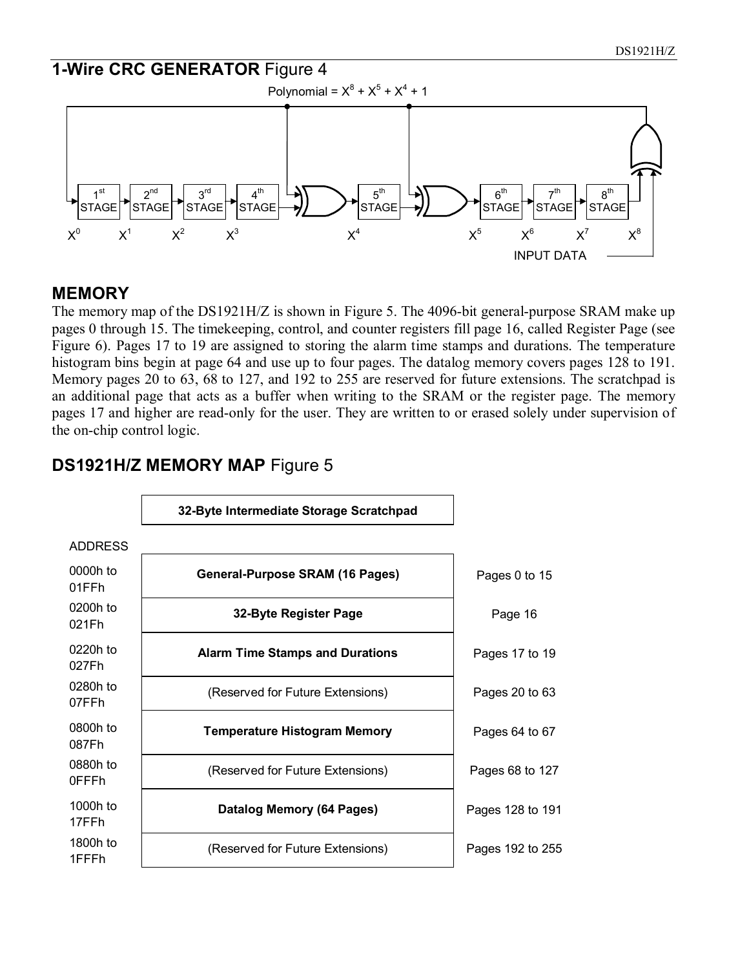

#### **MEMORY**

The memory map of the DS1921H/Z is shown in Figure 5. The 4096-bit general-purpose SRAM make up pages 0 through 15. The timekeeping, control, and counter registers fill page 16, called Register Page (see Figure 6). Pages 17 to 19 are assigned to storing the alarm time stamps and durations. The temperature histogram bins begin at page 64 and use up to four pages. The datalog memory covers pages 128 to 191. Memory pages 20 to 63, 68 to 127, and 192 to 255 are reserved for future extensions. The scratchpad is an additional page that acts as a buffer when writing to the SRAM or the register page. The memory pages 17 and higher are read-only for the user. They are written to or erased solely under supervision of the on-chip control logic.



#### **DS1921H/Z MEMORY MAP** Figure 5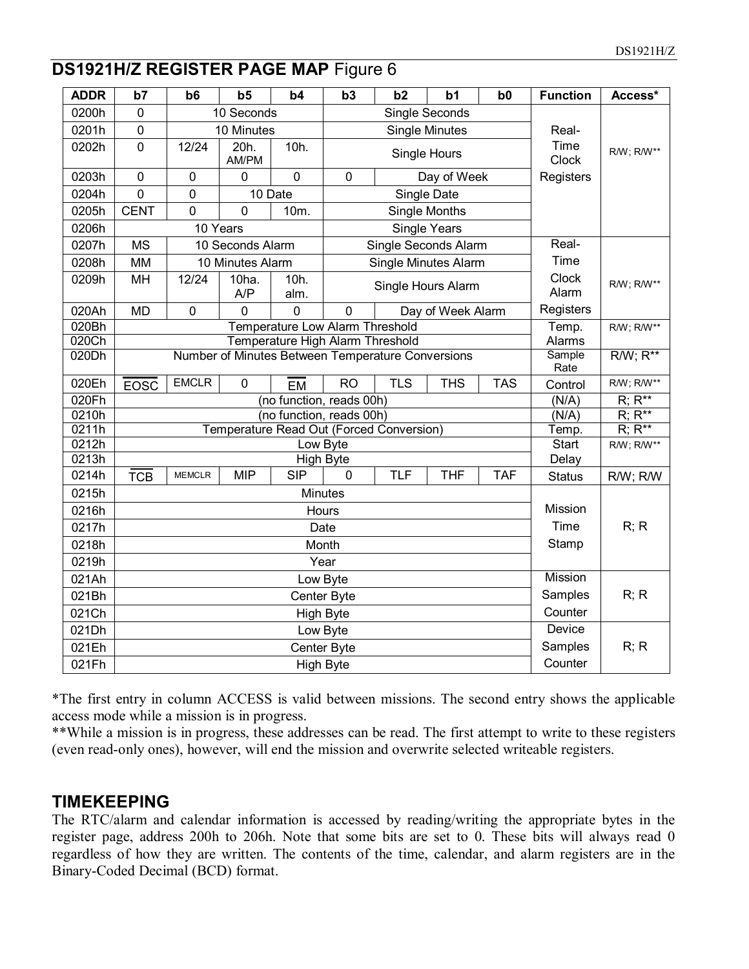#### **DS1921H/Z REGISTER PAGE MAP** Figure 6

| <b>ADDR</b>    | b7                              | b6            | b <sub>5</sub>   | b4                               | b3                           | b2                                                | b <sub>1</sub>       | b0         | <b>Function</b> | Access*      |
|----------------|---------------------------------|---------------|------------------|----------------------------------|------------------------------|---------------------------------------------------|----------------------|------------|-----------------|--------------|
| 0200h          | 0                               |               | 10 Seconds       |                                  |                              |                                                   | Single Seconds       |            |                 |              |
| 0201h          | $\mathbf 0$                     |               | 10 Minutes       |                                  | <b>Single Minutes</b>        |                                                   |                      |            | Real-           |              |
| 0202h          | $\overline{0}$                  | 12/24         | 20h.<br>AM/PM    | 10h.                             |                              | Single Hours                                      |                      |            |                 | R/W; R/W**   |
| 0203h          | $\overline{0}$                  | 0             | 0                | $\overline{0}$                   | $\mathbf 0$                  |                                                   | Day of Week          |            | Registers       |              |
| 0204h          | $\overline{0}$                  | 0             |                  | 10 Date                          |                              |                                                   | Single Date          |            |                 |              |
| 0205h          | <b>CENT</b>                     | 0             | 0                | 10m.                             |                              |                                                   | <b>Single Months</b> |            |                 |              |
| 0206h          |                                 |               | 10 Years         |                                  |                              |                                                   | <b>Single Years</b>  |            |                 |              |
| 0207h          | <b>MS</b>                       |               | 10 Seconds Alarm |                                  |                              | Single Seconds Alarm                              |                      |            | Real-           |              |
| 0208h          | <b>MM</b>                       |               | 10 Minutes Alarm |                                  |                              | <b>Single Minutes Alarm</b>                       |                      |            | Time            |              |
| 0209h          | MH                              | 12/24         | $10ha$ .<br>A/P  | 10h.<br>alm.                     |                              |                                                   | Single Hours Alarm   |            | Clock<br>Alarm  | R/W; R/W**   |
| 020Ah          | <b>MD</b>                       | 0             | $\Omega$         | 0                                | $\mathbf 0$                  |                                                   | Day of Week Alarm    |            | Registers       |              |
| 020Bh          |                                 |               |                  | Temperature Low Alarm Threshold  |                              |                                                   |                      |            | Temp.           | R/W; R/W**   |
| 020Ch          |                                 |               |                  | Temperature High Alarm Threshold |                              |                                                   |                      |            | Alarms          |              |
| 020Dh          |                                 |               |                  |                                  |                              | Number of Minutes Between Temperature Conversions |                      |            | Sample<br>Rate  | $RW; R^{**}$ |
| 020Eh          | <b>EOSC</b>                     | <b>EMCLR</b>  | $\mathbf 0$      | <b>EM</b>                        | <b>RO</b>                    | <b>TLS</b>                                        | <b>THS</b>           | <b>TAS</b> | Control         | R/W; R/W**   |
| 020Fh          |                                 |               |                  | (no function, reads 00h)         |                              |                                                   |                      |            | (N/A)           | $R; R^{**}$  |
| 0210h          |                                 |               |                  | (no function, reads 00h)         |                              |                                                   |                      |            | (N/A)           | $R; R^{**}$  |
| 0211h<br>0212h |                                 |               |                  |                                  |                              | Temperature Read Out (Forced Conversion)          |                      |            | Temp.           | $R; R^{**}$  |
| 0213h          |                                 |               |                  |                                  | Low Byte<br><b>High Byte</b> |                                                   |                      |            | Start<br>Delay  | R/W; R/W**   |
| 0214h          | <b>TCB</b>                      | <b>MEMCLR</b> | <b>MIP</b>       | <b>SIP</b>                       | $\mathbf{0}$                 | <b>TLF</b>                                        | <b>THF</b>           | <b>TAF</b> | <b>Status</b>   | R/W; R/W     |
| 0215h          |                                 |               |                  |                                  | <b>Minutes</b>               |                                                   |                      |            |                 |              |
| 0216h          |                                 |               |                  |                                  | Hours                        |                                                   |                      |            | Mission         |              |
| 0217h          |                                 |               |                  |                                  | Date                         |                                                   |                      |            | Time            | R; R         |
| 0218h          |                                 |               |                  |                                  | Month                        |                                                   |                      |            | Stamp           |              |
| 0219h          |                                 |               |                  |                                  | Year                         |                                                   |                      |            |                 |              |
| 021Ah          |                                 |               |                  |                                  | Low Byte                     |                                                   |                      |            | <b>Mission</b>  |              |
| 021Bh          |                                 |               |                  | Samples                          | R; R                         |                                                   |                      |            |                 |              |
| 021Ch          | Center Byte<br><b>High Byte</b> |               |                  |                                  |                              |                                                   |                      |            | Counter         |              |
| 021Dh          |                                 |               |                  |                                  |                              |                                                   |                      |            | <b>Device</b>   |              |
| 021Eh          |                                 |               |                  |                                  | Low Byte<br>Center Byte      |                                                   |                      |            | Samples         | R; R         |
|                |                                 |               |                  |                                  |                              |                                                   |                      |            | Counter         |              |
| 021Fh          |                                 |               |                  |                                  | <b>High Byte</b>             |                                                   |                      |            |                 |              |

\*The first entry in column ACCESS is valid between missions. The second entry shows the applicable access mode while a mission is in progress.

\*\*While a mission is in progress, these addresses can be read. The first attempt to write to these registers (even read-only ones), however, will end the mission and overwrite selected writeable registers.

#### **TIMEKEEPING**

The RTC/alarm and calendar information is accessed by reading/writing the appropriate bytes in the register page, address 200h to 206h. Note that some bits are set to 0. These bits will always read 0 regardless of how they are written. The contents of the time, calendar, and alarm registers are in the Binary-Coded Decimal (BCD) format.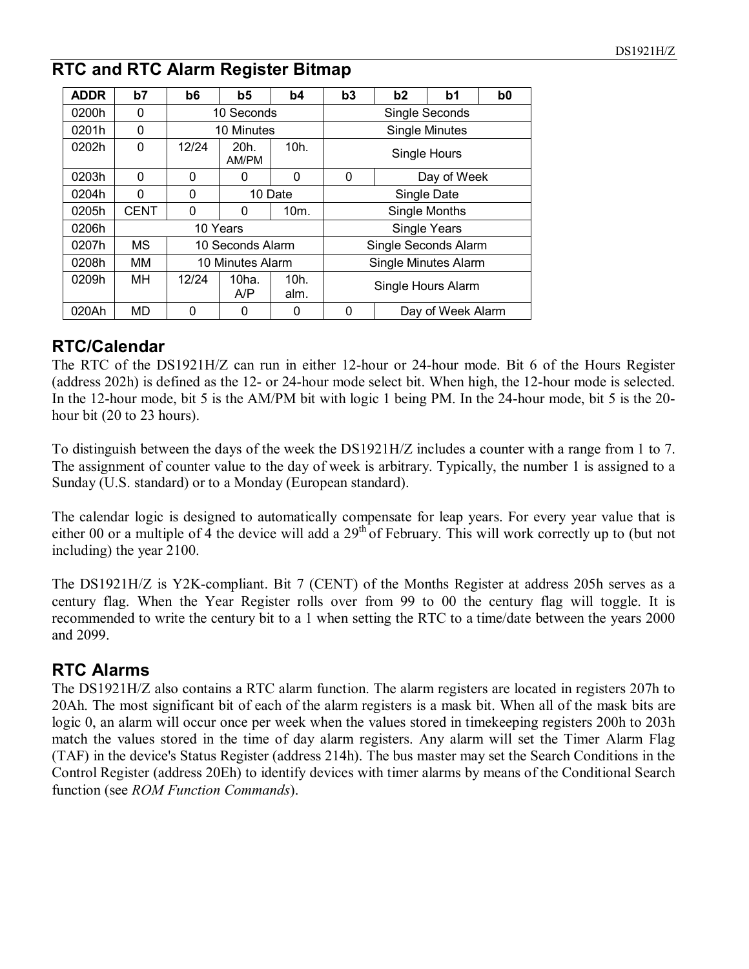#### **RTC and RTC Alarm Register Bitmap**

| <b>ADDR</b> | b7          | b6         | b5                       | b4           | b3                 | b2                    | b1                   | b0 |
|-------------|-------------|------------|--------------------------|--------------|--------------------|-----------------------|----------------------|----|
| 0200h       | 0           |            | 10 Seconds               |              |                    | Single Seconds        |                      |    |
| 0201h       | 0           | 10 Minutes |                          |              |                    | <b>Single Minutes</b> |                      |    |
| 0202h       | 0           | 12/24      | 20h.<br>AM/PM            | 10h.         | Single Hours       |                       |                      |    |
| 0203h       | 0           | 0          | 0                        | 0            | Day of Week<br>0   |                       |                      |    |
| 0204h       | 0           | 0          |                          | 10 Date      |                    | Single Date           |                      |    |
| 0205h       | <b>CENT</b> | 0          | 0                        | 10m.         |                    |                       | <b>Single Months</b> |    |
| 0206h       |             |            | 10 Years                 |              |                    |                       | <b>Single Years</b>  |    |
| 0207h       | <b>MS</b>   |            | 10 Seconds Alarm         |              |                    | Single Seconds Alarm  |                      |    |
| 0208h       | MМ          |            | 10 Minutes Alarm         |              |                    | Single Minutes Alarm  |                      |    |
| 0209h       | MН          | 12/24      | 10 <sub>ha.</sub><br>A/P | 10h.<br>alm. | Single Hours Alarm |                       |                      |    |
| 020Ah       | MD          | 0          | 0                        | 0            | 0                  | Day of Week Alarm     |                      |    |

#### **RTC/Calendar**

The RTC of the DS1921H/Z can run in either 12-hour or 24-hour mode. Bit 6 of the Hours Register (address 202h) is defined as the 12- or 24-hour mode select bit. When high, the 12-hour mode is selected. In the 12-hour mode, bit 5 is the AM/PM bit with logic 1 being PM. In the 24-hour mode, bit 5 is the 20 hour bit (20 to 23 hours).

To distinguish between the days of the week the DS1921H/Z includes a counter with a range from 1 to 7. The assignment of counter value to the day of week is arbitrary. Typically, the number 1 is assigned to a Sunday (U.S. standard) or to a Monday (European standard).

The calendar logic is designed to automatically compensate for leap years. For every year value that is either 00 or a multiple of 4 the device will add a  $29<sup>th</sup>$  of February. This will work correctly up to (but not including) the year 2100.

The DS1921H/Z is Y2K-compliant. Bit 7 (CENT) of the Months Register at address 205h serves as a century flag. When the Year Register rolls over from 99 to 00 the century flag will toggle. It is recommended to write the century bit to a 1 when setting the RTC to a time/date between the years 2000 and 2099.

#### **RTC Alarms**

The DS1921H/Z also contains a RTC alarm function. The alarm registers are located in registers 207h to 20Ah. The most significant bit of each of the alarm registers is a mask bit. When all of the mask bits are logic 0, an alarm will occur once per week when the values stored in timekeeping registers 200h to 203h match the values stored in the time of day alarm registers. Any alarm will set the Timer Alarm Flag (TAF) in the device's Status Register (address 214h). The bus master may set the Search Conditions in the Control Register (address 20Eh) to identify devices with timer alarms by means of the Conditional Search function (see *ROM Function Commands*).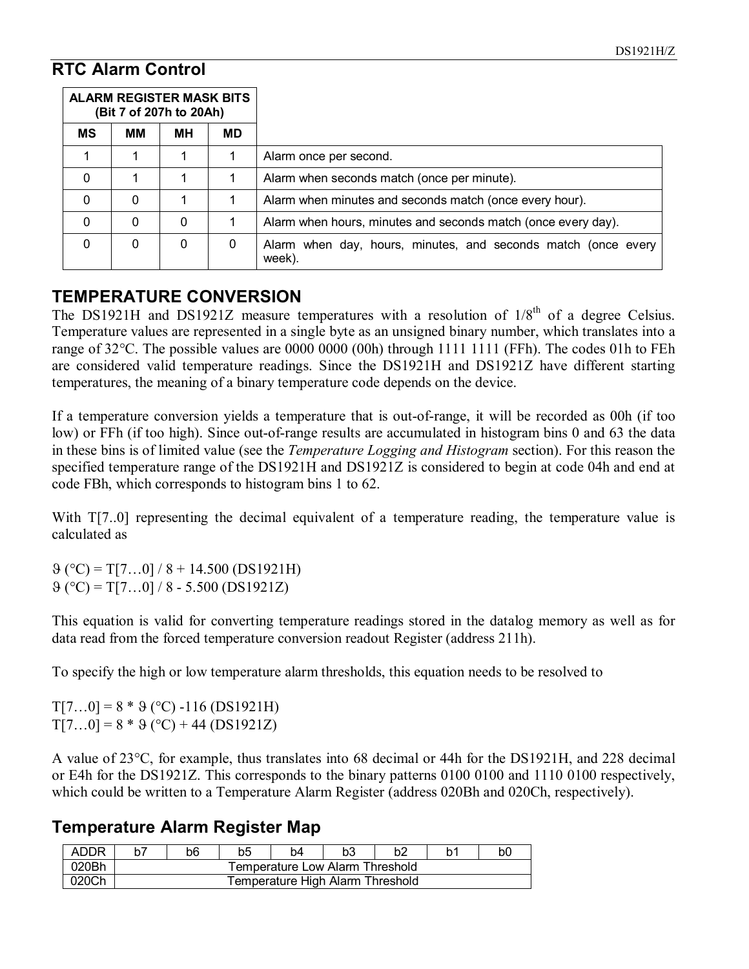#### **RTC Alarm Control**

| <b>ALARM REGISTER MASK BITS</b><br>(Bit 7 of 207h to 20Ah) |    |    |           |                                                                         |
|------------------------------------------------------------|----|----|-----------|-------------------------------------------------------------------------|
| <b>MS</b>                                                  | MМ | MН | <b>MD</b> |                                                                         |
|                                                            |    |    |           | Alarm once per second.                                                  |
| $\mathbf 0$                                                |    |    |           | Alarm when seconds match (once per minute).                             |
| $\mathbf 0$                                                | 0  |    |           | Alarm when minutes and seconds match (once every hour).                 |
| $\mathbf 0$                                                | 0  | 0  |           | Alarm when hours, minutes and seconds match (once every day).           |
| $\mathbf 0$                                                | 0  | 0  | 0         | Alarm when day, hours, minutes, and seconds match (once every<br>week). |

#### **TEMPERATURE CONVERSION**

The DS1921H and DS1921Z measure temperatures with a resolution of  $1/8<sup>th</sup>$  of a degree Celsius. Temperature values are represented in a single byte as an unsigned binary number, which translates into a range of 32°C. The possible values are 0000 0000 (00h) through 1111 1111 (FFh). The codes 01h to FEh are considered valid temperature readings. Since the DS1921H and DS1921Z have different starting temperatures, the meaning of a binary temperature code depends on the device.

If a temperature conversion yields a temperature that is out-of-range, it will be recorded as 00h (if too low) or FFh (if too high). Since out-of-range results are accumulated in histogram bins 0 and 63 the data in these bins is of limited value (see the *Temperature Logging and Histogram* section). For this reason the specified temperature range of the DS1921H and DS1921Z is considered to begin at code 04h and end at code FBh, which corresponds to histogram bins 1 to 62.

With T[7..0] representing the decimal equivalent of a temperature reading, the temperature value is calculated as

 $(9 \degree C) = T[7...0] / 8 + 14.500 (DS1921H)$  $(9 (°C) = T[7...0]/8 - 5.500 (DS1921Z)$ 

This equation is valid for converting temperature readings stored in the datalog memory as well as for data read from the forced temperature conversion readout Register (address 211h).

To specify the high or low temperature alarm thresholds, this equation needs to be resolved to

 $T[7...0] = 8 * 9$  (°C) -116 (DS1921H)  $T[7...0] = 8 * 9$  (°C) + 44 (DS1921Z)

A value of 23°C, for example, thus translates into 68 decimal or 44h for the DS1921H, and 228 decimal or E4h for the DS1921Z. This corresponds to the binary patterns 0100 0100 and 1110 0100 respectively, which could be written to a Temperature Alarm Register (address 020Bh and 020Ch, respectively).

#### **Temperature Alarm Register Map**

| ADDR  |                                  | b6                              | b5 | h4 |  | h2 |  | bC |  |
|-------|----------------------------------|---------------------------------|----|----|--|----|--|----|--|
| 020Bh |                                  | Temperature Low Alarm Threshold |    |    |  |    |  |    |  |
| 020Ch | Temperature High Alarm Threshold |                                 |    |    |  |    |  |    |  |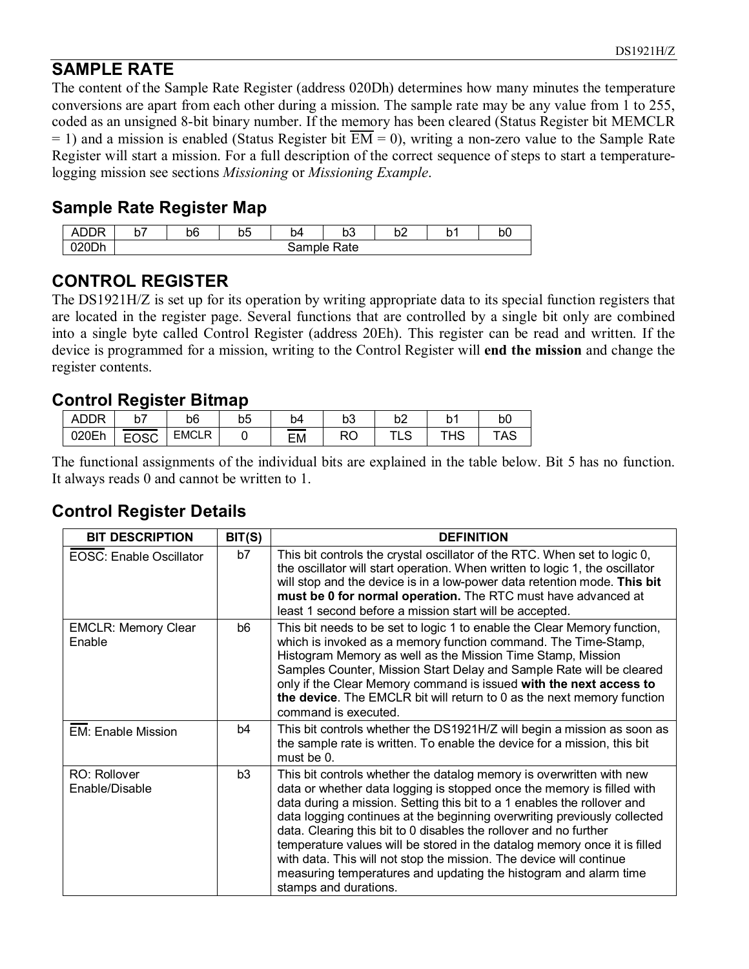### **SAMPLE RATE**

The content of the Sample Rate Register (address 020Dh) determines how many minutes the temperature conversions are apart from each other during a mission. The sample rate may be any value from 1 to 255, coded as an unsigned 8-bit binary number. If the memory has been cleared (Status Register bit MEMCLR  $= 1$ ) and a mission is enabled (Status Register bit  $\overline{EM} = 0$ ), writing a non-zero value to the Sample Rate Register will start a mission. For a full description of the correct sequence of steps to start a temperaturelogging mission see sections *Missioning* or *Missioning Example*.

#### **Sample Rate Register Map**

| <u>rr</u><br><b>NDDR</b><br>∸ | v, | b6 | $\sim$<br>∼<br>ມບ | ь.<br>p4 | $\sim$<br>ບບ | $h^{\circ}$<br>◡∠ | ∽<br>ັ | bÜ |
|-------------------------------|----|----|-------------------|----------|--------------|-------------------|--------|----|
| 020Dh                         |    |    |                   | Sample   | Rate         |                   |        |    |

#### **CONTROL REGISTER**

The DS1921H/Z is set up for its operation by writing appropriate data to its special function registers that are located in the register page. Several functions that are controlled by a single bit only are combined into a single byte called Control Register (address 20Eh). This register can be read and written. If the device is programmed for a mission, writing to the Control Register will **end the mission** and change the register contents.

#### **Control Register Bitmap**

| <b>ADDR</b> | $h^{\pm}$<br>יש | b6           | b5 | b4 | bЗ | b2 | N                    | b0                  |
|-------------|-----------------|--------------|----|----|----|----|----------------------|---------------------|
| 020Eh       | EOSC            | <b>EMCLR</b> |    | EM | RO | ∟ບ | $\overline{1}$<br>HS | <b>۳۸ ∩</b><br>، AS |

The functional assignments of the individual bits are explained in the table below. Bit 5 has no function. It always reads 0 and cannot be written to 1.

### **Control Register Details**

| <b>BIT DESCRIPTION</b>               | BIT(S) | <b>DEFINITION</b>                                                                                                                                                                                                                                                                                                                                                                                                                                                                                                                                                                                                           |
|--------------------------------------|--------|-----------------------------------------------------------------------------------------------------------------------------------------------------------------------------------------------------------------------------------------------------------------------------------------------------------------------------------------------------------------------------------------------------------------------------------------------------------------------------------------------------------------------------------------------------------------------------------------------------------------------------|
| EOSC: Enable Oscillator              | b7     | This bit controls the crystal oscillator of the RTC. When set to logic 0,<br>the oscillator will start operation. When written to logic 1, the oscillator<br>will stop and the device is in a low-power data retention mode. This bit<br>must be 0 for normal operation. The RTC must have advanced at<br>least 1 second before a mission start will be accepted.                                                                                                                                                                                                                                                           |
| <b>EMCLR: Memory Clear</b><br>Enable | b6     | This bit needs to be set to logic 1 to enable the Clear Memory function,<br>which is invoked as a memory function command. The Time-Stamp,<br>Histogram Memory as well as the Mission Time Stamp, Mission<br>Samples Counter, Mission Start Delay and Sample Rate will be cleared<br>only if the Clear Memory command is issued with the next access to<br>the device. The EMCLR bit will return to 0 as the next memory function<br>command is executed.                                                                                                                                                                   |
| <b>EM: Enable Mission</b>            | b4     | This bit controls whether the DS1921H/Z will begin a mission as soon as<br>the sample rate is written. To enable the device for a mission, this bit<br>must be 0.                                                                                                                                                                                                                                                                                                                                                                                                                                                           |
| RO: Rollover<br>Enable/Disable       | b3     | This bit controls whether the datalog memory is overwritten with new<br>data or whether data logging is stopped once the memory is filled with<br>data during a mission. Setting this bit to a 1 enables the rollover and<br>data logging continues at the beginning overwriting previously collected<br>data. Clearing this bit to 0 disables the rollover and no further<br>temperature values will be stored in the datalog memory once it is filled<br>with data. This will not stop the mission. The device will continue<br>measuring temperatures and updating the histogram and alarm time<br>stamps and durations. |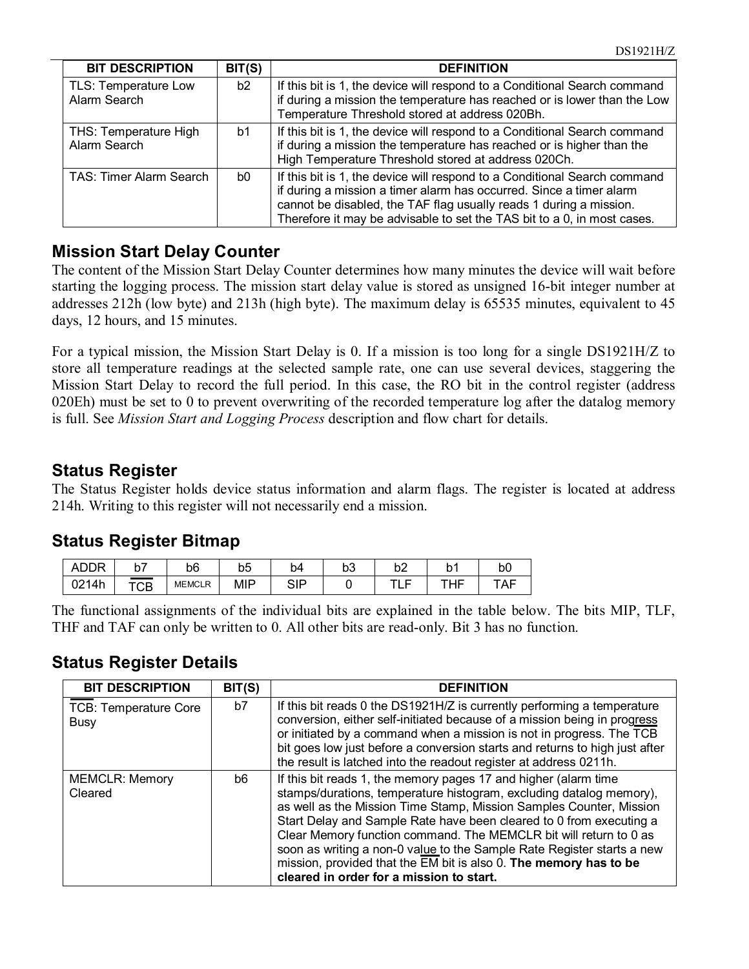| <b>BIT DESCRIPTION</b>                | BIT(S) | <b>DEFINITION</b>                                                                                                                                                                                                                                                                                 |
|---------------------------------------|--------|---------------------------------------------------------------------------------------------------------------------------------------------------------------------------------------------------------------------------------------------------------------------------------------------------|
| TLS: Temperature Low<br>Alarm Search  | b2     | If this bit is 1, the device will respond to a Conditional Search command<br>if during a mission the temperature has reached or is lower than the Low<br>Temperature Threshold stored at address 020Bh.                                                                                           |
| THS: Temperature High<br>Alarm Search | b1     | If this bit is 1, the device will respond to a Conditional Search command<br>if during a mission the temperature has reached or is higher than the<br>High Temperature Threshold stored at address 020Ch.                                                                                         |
| TAS: Timer Alarm Search               | b0     | If this bit is 1, the device will respond to a Conditional Search command<br>if during a mission a timer alarm has occurred. Since a timer alarm<br>cannot be disabled, the TAF flag usually reads 1 during a mission.<br>Therefore it may be advisable to set the TAS bit to a 0, in most cases. |

#### **Mission Start Delay Counter**

The content of the Mission Start Delay Counter determines how many minutes the device will wait before starting the logging process. The mission start delay value is stored as unsigned 16-bit integer number at addresses 212h (low byte) and 213h (high byte). The maximum delay is 65535 minutes, equivalent to 45 days, 12 hours, and 15 minutes.

For a typical mission, the Mission Start Delay is 0. If a mission is too long for a single DS1921H/Z to store all temperature readings at the selected sample rate, one can use several devices, staggering the Mission Start Delay to record the full period. In this case, the RO bit in the control register (address 020Eh) must be set to 0 to prevent overwriting of the recorded temperature log after the datalog memory is full. See *Mission Start and Logging Process* description and flow chart for details.

#### **Status Register**

The Status Register holds device status information and alarm flags. The register is located at address 214h. Writing to this register will not necessarily end a mission.

#### **Status Register Bitmap**

| ADDR              | יש  | b6            | b <sub>5</sub> | D4                | bЗ | b <sub>2</sub> | h<br>N   | bO   |
|-------------------|-----|---------------|----------------|-------------------|----|----------------|----------|------|
| 0214h<br>JZ I HII | TCB | <b>MEMCLR</b> | <b>MIP</b>     | <b>QID</b><br>ייט |    | $-1$<br>--     | ᆍᆸᆮ<br>. | I Al |

The functional assignments of the individual bits are explained in the table below. The bits MIP, TLF, THF and TAF can only be written to 0. All other bits are read-only. Bit 3 has no function.

#### **Status Register Details**

| <b>BIT DESCRIPTION</b>                      | BIT(S) | <b>DEFINITION</b>                                                                                                                                                                                                                                                                                                                                                                                                                                                                                                                                                 |
|---------------------------------------------|--------|-------------------------------------------------------------------------------------------------------------------------------------------------------------------------------------------------------------------------------------------------------------------------------------------------------------------------------------------------------------------------------------------------------------------------------------------------------------------------------------------------------------------------------------------------------------------|
| <b>TCB: Temperature Core</b><br><b>Busy</b> | b7     | If this bit reads 0 the DS1921H/Z is currently performing a temperature<br>conversion, either self-initiated because of a mission being in progress<br>or initiated by a command when a mission is not in progress. The TCB<br>bit goes low just before a conversion starts and returns to high just after<br>the result is latched into the readout register at address 0211h.                                                                                                                                                                                   |
| <b>MEMCLR: Memory</b><br>Cleared            | b6     | If this bit reads 1, the memory pages 17 and higher (alarm time<br>stamps/durations, temperature histogram, excluding datalog memory),<br>as well as the Mission Time Stamp, Mission Samples Counter, Mission<br>Start Delay and Sample Rate have been cleared to 0 from executing a<br>Clear Memory function command. The MEMCLR bit will return to 0 as<br>soon as writing a non-0 value to the Sample Rate Register starts a new<br>mission, provided that the $\overline{EM}$ bit is also 0. The memory has to be<br>cleared in order for a mission to start. |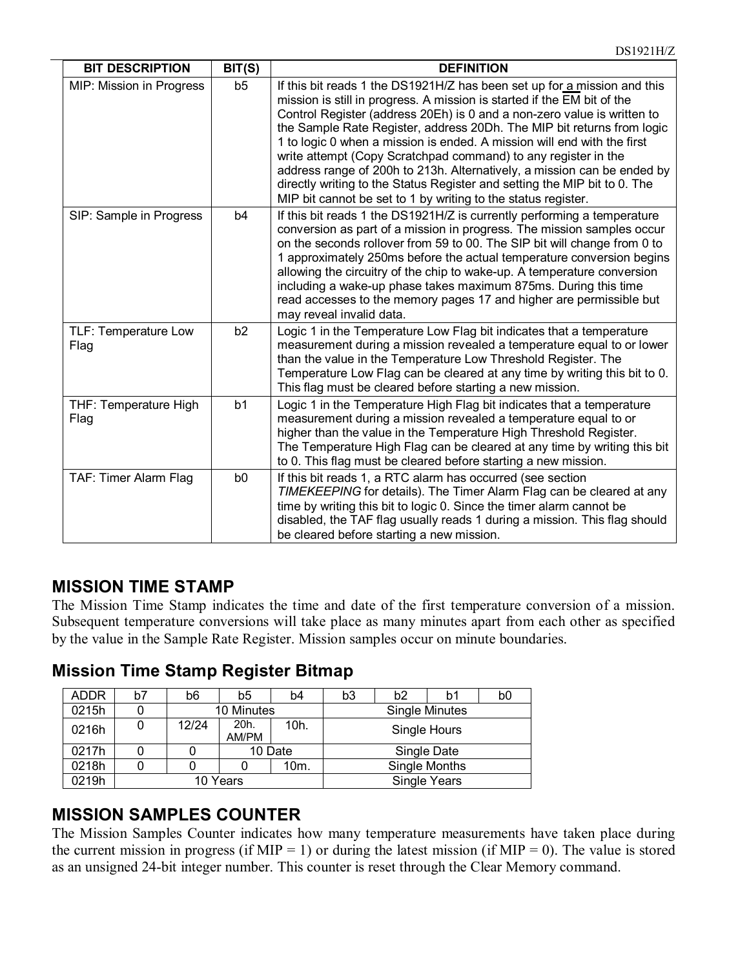| <b>BIT DESCRIPTION</b>        | BIT(S)         | <b>DEFINITION</b>                                                                                                                                                                                                                                                                                                                                                                                                                                                                                                                                                                                                                                                              |
|-------------------------------|----------------|--------------------------------------------------------------------------------------------------------------------------------------------------------------------------------------------------------------------------------------------------------------------------------------------------------------------------------------------------------------------------------------------------------------------------------------------------------------------------------------------------------------------------------------------------------------------------------------------------------------------------------------------------------------------------------|
| MIP: Mission in Progress      | b5             | If this bit reads 1 the DS1921H/Z has been set up for a mission and this<br>mission is still in progress. A mission is started if the EM bit of the<br>Control Register (address 20Eh) is 0 and a non-zero value is written to<br>the Sample Rate Register, address 20Dh. The MIP bit returns from logic<br>1 to logic 0 when a mission is ended. A mission will end with the first<br>write attempt (Copy Scratchpad command) to any register in the<br>address range of 200h to 213h. Alternatively, a mission can be ended by<br>directly writing to the Status Register and setting the MIP bit to 0. The<br>MIP bit cannot be set to 1 by writing to the status register. |
| SIP: Sample in Progress       | b <sub>4</sub> | If this bit reads 1 the DS1921H/Z is currently performing a temperature<br>conversion as part of a mission in progress. The mission samples occur<br>on the seconds rollover from 59 to 00. The SIP bit will change from 0 to<br>1 approximately 250ms before the actual temperature conversion begins<br>allowing the circuitry of the chip to wake-up. A temperature conversion<br>including a wake-up phase takes maximum 875ms. During this time<br>read accesses to the memory pages 17 and higher are permissible but<br>may reveal invalid data.                                                                                                                        |
| TLF: Temperature Low<br>Flag  | b <sub>2</sub> | Logic 1 in the Temperature Low Flag bit indicates that a temperature<br>measurement during a mission revealed a temperature equal to or lower<br>than the value in the Temperature Low Threshold Register. The<br>Temperature Low Flag can be cleared at any time by writing this bit to 0.<br>This flag must be cleared before starting a new mission.                                                                                                                                                                                                                                                                                                                        |
| THF: Temperature High<br>Flag | b1             | Logic 1 in the Temperature High Flag bit indicates that a temperature<br>measurement during a mission revealed a temperature equal to or<br>higher than the value in the Temperature High Threshold Register.<br>The Temperature High Flag can be cleared at any time by writing this bit<br>to 0. This flag must be cleared before starting a new mission.                                                                                                                                                                                                                                                                                                                    |
| TAF: Timer Alarm Flag         | b <sub>0</sub> | If this bit reads 1, a RTC alarm has occurred (see section<br>TIMEKEEPING for details). The Timer Alarm Flag can be cleared at any<br>time by writing this bit to logic 0. Since the timer alarm cannot be<br>disabled, the TAF flag usually reads 1 during a mission. This flag should<br>be cleared before starting a new mission.                                                                                                                                                                                                                                                                                                                                           |

#### **MISSION TIME STAMP**

The Mission Time Stamp indicates the time and date of the first temperature conversion of a mission. Subsequent temperature conversions will take place as many minutes apart from each other as specified by the value in the Sample Rate Register. Mission samples occur on minute boundaries.

**Mission Time Stamp Register Bitmap**

| ADDR  | b7 | b6    | b5            | b4      | b3 | b <sub>2</sub> | b1                    | b0 |
|-------|----|-------|---------------|---------|----|----------------|-----------------------|----|
| 0215h |    |       | 10 Minutes    |         |    |                | <b>Single Minutes</b> |    |
| 0216h |    | 12/24 | 20h.<br>AM/PM | 10h.    |    |                | Single Hours          |    |
| 0217h |    |       |               | 10 Date |    |                | Single Date           |    |
| 0218h |    |       |               | 10m.    |    |                | Single Months         |    |
| 0219h |    |       | 10 Years      |         |    |                | <b>Single Years</b>   |    |

### **MISSION SAMPLES COUNTER**

The Mission Samples Counter indicates how many temperature measurements have taken place during the current mission in progress (if MIP = 1) or during the latest mission (if MIP = 0). The value is stored as an unsigned 24-bit integer number. This counter is reset through the Clear Memory command.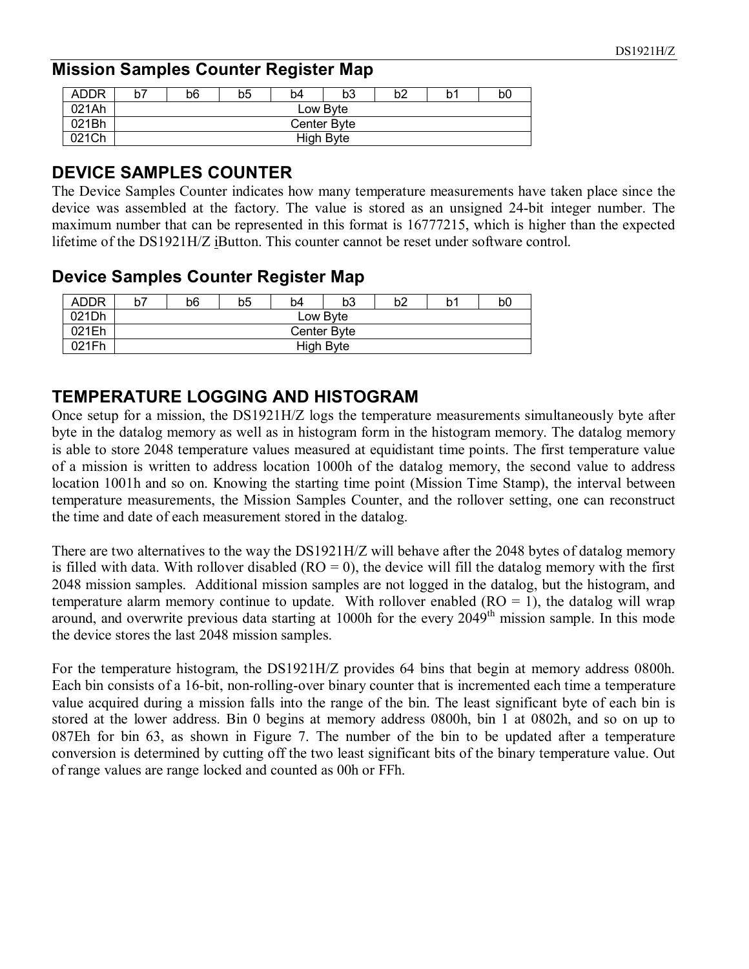#### **Mission Samples Counter Register Map**

| <b>ADDR</b> | b7 | b6          | b5 | b4 | b3 | b2 | b٬ | b <sub>0</sub> |  |
|-------------|----|-------------|----|----|----|----|----|----------------|--|
| 021Ah       |    | Low Byte    |    |    |    |    |    |                |  |
| 021Bh       |    | Center Byte |    |    |    |    |    |                |  |
| 021Ch       |    | High Byte   |    |    |    |    |    |                |  |

#### **DEVICE SAMPLES COUNTER**

The Device Samples Counter indicates how many temperature measurements have taken place since the device was assembled at the factory. The value is stored as an unsigned 24-bit integer number. The maximum number that can be represented in this format is 16777215, which is higher than the expected lifetime of the DS1921H/Z iButton. This counter cannot be reset under software control.

#### **Device Samples Counter Register Map**

| <b>ADDR</b> | b7 | b6          | b5 | b4 | b3 | b2 | b٬ | b0 |  |
|-------------|----|-------------|----|----|----|----|----|----|--|
| 021Dh       |    | Low Byte    |    |    |    |    |    |    |  |
| 021Eh       |    | Center Byte |    |    |    |    |    |    |  |
| 021Fh       |    | High Byte   |    |    |    |    |    |    |  |

#### **TEMPERATURE LOGGING AND HISTOGRAM**

Once setup for a mission, the DS1921H/Z logs the temperature measurements simultaneously byte after byte in the datalog memory as well as in histogram form in the histogram memory. The datalog memory is able to store 2048 temperature values measured at equidistant time points. The first temperature value of a mission is written to address location 1000h of the datalog memory, the second value to address location 1001h and so on. Knowing the starting time point (Mission Time Stamp), the interval between temperature measurements, the Mission Samples Counter, and the rollover setting, one can reconstruct the time and date of each measurement stored in the datalog.

There are two alternatives to the way the DS1921H/Z will behave after the 2048 bytes of datalog memory is filled with data. With rollover disabled  $(RO = 0)$ , the device will fill the datalog memory with the first 2048 mission samples. Additional mission samples are not logged in the datalog, but the histogram, and temperature alarm memory continue to update. With rollover enabled  $(RO = 1)$ , the datalog will wrap around, and overwrite previous data starting at 1000h for the every 2049<sup>th</sup> mission sample. In this mode the device stores the last 2048 mission samples.

For the temperature histogram, the DS1921H/Z provides 64 bins that begin at memory address 0800h. Each bin consists of a 16-bit, non-rolling-over binary counter that is incremented each time a temperature value acquired during a mission falls into the range of the bin. The least significant byte of each bin is stored at the lower address. Bin 0 begins at memory address 0800h, bin 1 at 0802h, and so on up to 087Eh for bin 63, as shown in Figure 7. The number of the bin to be updated after a temperature conversion is determined by cutting off the two least significant bits of the binary temperature value. Out of range values are range locked and counted as 00h or FFh.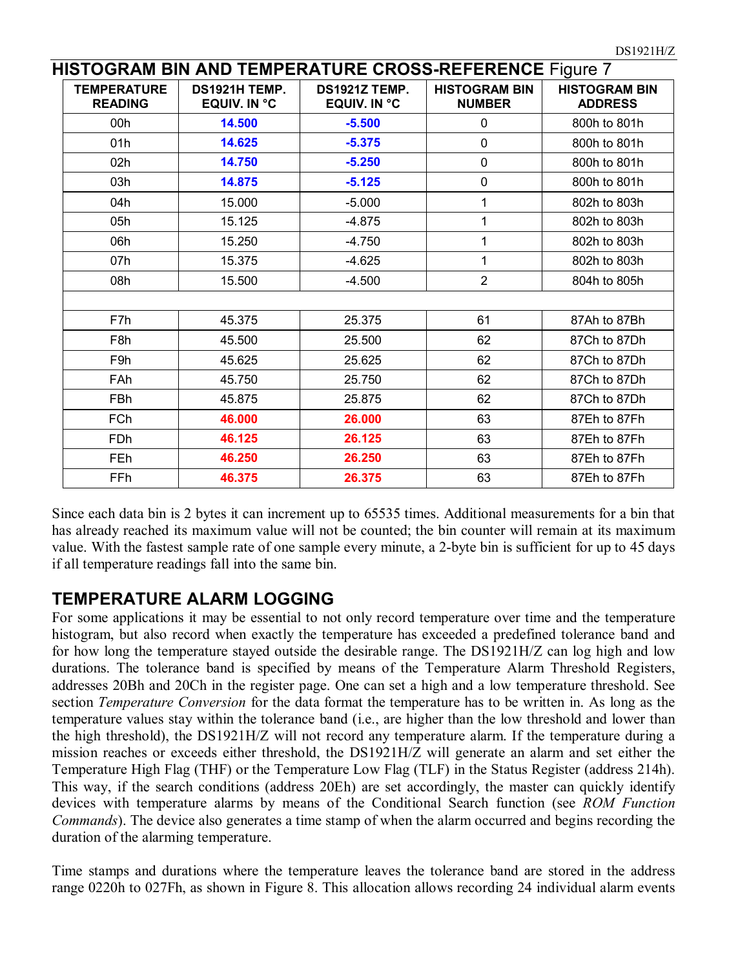|                                      |                                      | HISTOGRAM BIN AND TEMPERATURE CROSS-REFERENCE Figure 7 |                                       |                                        |
|--------------------------------------|--------------------------------------|--------------------------------------------------------|---------------------------------------|----------------------------------------|
| <b>TEMPERATURE</b><br><b>READING</b> | DS1921H TEMP.<br><b>EQUIV. IN °C</b> | <b>DS1921Z TEMP.</b><br><b>EQUIV. IN °C</b>            | <b>HISTOGRAM BIN</b><br><b>NUMBER</b> | <b>HISTOGRAM BIN</b><br><b>ADDRESS</b> |
| 00h                                  | 14.500                               | $-5.500$                                               | 0                                     | 800h to 801h                           |
| 01h                                  | 14.625                               | $-5.375$                                               | $\mathbf 0$                           | 800h to 801h                           |
| 02h                                  | 14.750                               | $-5.250$                                               | $\mathbf 0$                           | 800h to 801h                           |
| 03h                                  | 14.875                               | $-5.125$                                               | $\mathbf 0$                           | 800h to 801h                           |
| 04h                                  | 15.000                               | $-5.000$                                               | $\mathbf{1}$                          | 802h to 803h                           |
| 05h                                  | 15.125                               | $-4.875$                                               | 1                                     | 802h to 803h                           |
| 06h                                  | 15.250                               | $-4.750$                                               | $\mathbf{1}$                          | 802h to 803h                           |
| 07h                                  | 15.375                               | $-4.625$                                               | 1                                     | 802h to 803h                           |
| 08h                                  | 15.500                               | $-4.500$                                               | $\overline{2}$                        | 804h to 805h                           |
|                                      |                                      |                                                        |                                       |                                        |
| F7h                                  | 45.375                               | 25.375                                                 | 61                                    | 87Ah to 87Bh                           |
| F <sub>8</sub> h                     | 45.500                               | 25.500                                                 | 62                                    | 87Ch to 87Dh                           |
| F <sub>9</sub> h                     | 45.625                               | 25.625                                                 | 62                                    | 87Ch to 87Dh                           |
| <b>FAh</b>                           | 45.750                               | 25.750                                                 | 62                                    | 87Ch to 87Dh                           |
| FBh                                  | 45.875                               | 25.875                                                 | 62                                    | 87Ch to 87Dh                           |
| <b>FCh</b>                           | 46.000                               | 26.000                                                 | 63                                    | 87Eh to 87Fh                           |
| <b>FDh</b>                           | 46.125                               | 26.125                                                 | 63                                    | 87Eh to 87Fh                           |
| <b>FEh</b>                           | 46.250                               | 26.250                                                 | 63                                    | 87Eh to 87Fh                           |
| FFh                                  | 46.375                               | 26.375                                                 | 63                                    | 87Eh to 87Fh                           |

Since each data bin is 2 bytes it can increment up to 65535 times. Additional measurements for a bin that has already reached its maximum value will not be counted; the bin counter will remain at its maximum value. With the fastest sample rate of one sample every minute, a 2-byte bin is sufficient for up to 45 days if all temperature readings fall into the same bin.

#### **TEMPERATURE ALARM LOGGING**

For some applications it may be essential to not only record temperature over time and the temperature histogram, but also record when exactly the temperature has exceeded a predefined tolerance band and for how long the temperature stayed outside the desirable range. The DS1921H/Z can log high and low durations. The tolerance band is specified by means of the Temperature Alarm Threshold Registers, addresses 20Bh and 20Ch in the register page. One can set a high and a low temperature threshold. See section *Temperature Conversion* for the data format the temperature has to be written in. As long as the temperature values stay within the tolerance band (i.e., are higher than the low threshold and lower than the high threshold), the DS1921H/Z will not record any temperature alarm. If the temperature during a mission reaches or exceeds either threshold, the DS1921H/Z will generate an alarm and set either the Temperature High Flag (THF) or the Temperature Low Flag (TLF) in the Status Register (address 214h). This way, if the search conditions (address 20Eh) are set accordingly, the master can quickly identify devices with temperature alarms by means of the Conditional Search function (see *ROM Function Commands*). The device also generates a time stamp of when the alarm occurred and begins recording the duration of the alarming temperature.

Time stamps and durations where the temperature leaves the tolerance band are stored in the address range 0220h to 027Fh, as shown in Figure 8. This allocation allows recording 24 individual alarm events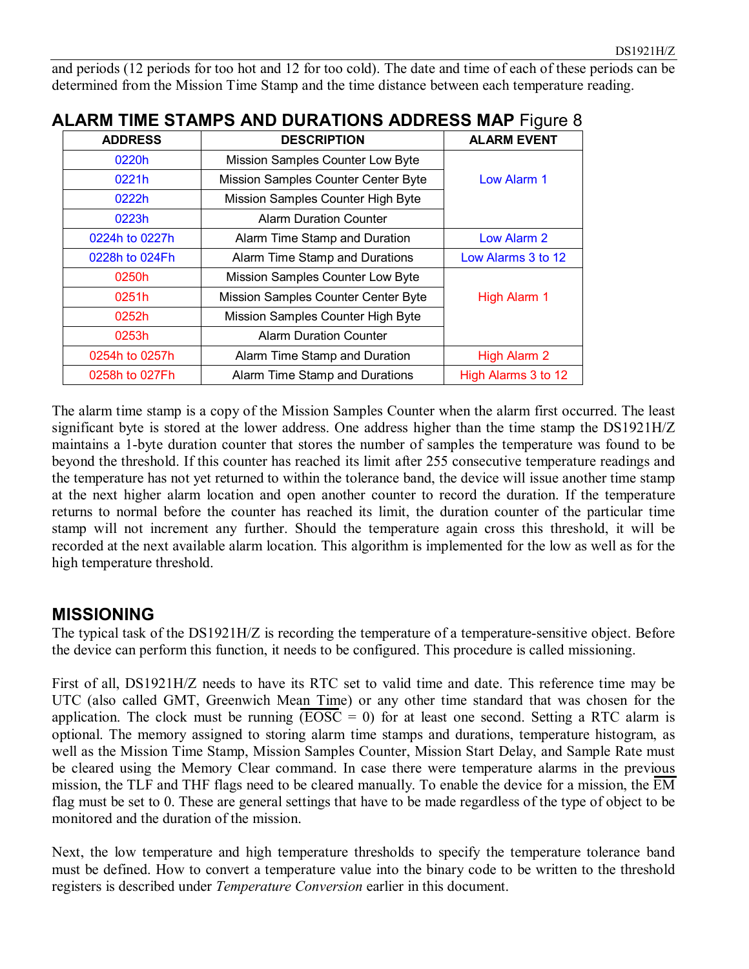and periods (12 periods for too hot and 12 for too cold). The date and time of each of these periods can be determined from the Mission Time Stamp and the time distance between each temperature reading.

| <b>ADDRESS</b> | <b>DESCRIPTION</b>                  | <b>ALARM EVENT</b>  |
|----------------|-------------------------------------|---------------------|
| 0220h          | Mission Samples Counter Low Byte    |                     |
| 0221h          | Mission Samples Counter Center Byte | Low Alarm 1         |
| 0222h          | Mission Samples Counter High Byte   |                     |
| 0223h          | <b>Alarm Duration Counter</b>       |                     |
| 0224h to 0227h | Alarm Time Stamp and Duration       | Low Alarm 2         |
| 0228h to 024Fh | Alarm Time Stamp and Durations      | Low Alarms 3 to 12  |
| 0250h          | Mission Samples Counter Low Byte    |                     |
| 0251h          | Mission Samples Counter Center Byte | High Alarm 1        |
| 0252h          | Mission Samples Counter High Byte   |                     |
| 0253h          | <b>Alarm Duration Counter</b>       |                     |
| 0254h to 0257h | Alarm Time Stamp and Duration       | High Alarm 2        |
| 0258h to 027Fh | Alarm Time Stamp and Durations      | High Alarms 3 to 12 |

## **ALARM TIME STAMPS AND DURATIONS ADDRESS MAP** Figure 8

The alarm time stamp is a copy of the Mission Samples Counter when the alarm first occurred. The least significant byte is stored at the lower address. One address higher than the time stamp the DS1921H/Z maintains a 1-byte duration counter that stores the number of samples the temperature was found to be beyond the threshold. If this counter has reached its limit after 255 consecutive temperature readings and the temperature has not yet returned to within the tolerance band, the device will issue another time stamp at the next higher alarm location and open another counter to record the duration. If the temperature returns to normal before the counter has reached its limit, the duration counter of the particular time stamp will not increment any further. Should the temperature again cross this threshold, it will be recorded at the next available alarm location. This algorithm is implemented for the low as well as for the high temperature threshold.

#### **MISSIONING**

The typical task of the DS1921H/Z is recording the temperature of a temperature-sensitive object. Before the device can perform this function, it needs to be configured. This procedure is called missioning.

First of all, DS1921H/Z needs to have its RTC set to valid time and date. This reference time may be UTC (also called GMT, Greenwich Mean Time) or any other time standard that was chosen for the application. The clock must be running  $\overline{(EOSC = 0)}$  for at least one second. Setting a RTC alarm is optional. The memory assigned to storing alarm time stamps and durations, temperature histogram, as well as the Mission Time Stamp, Mission Samples Counter, Mission Start Delay, and Sample Rate must be cleared using the Memory Clear command. In case there were temperature alarms in the previous mission, the TLF and THF flags need to be cleared manually. To enable the device for a mission, the  $\overline{EM}$ flag must be set to 0. These are general settings that have to be made regardless of the type of object to be monitored and the duration of the mission.

Next, the low temperature and high temperature thresholds to specify the temperature tolerance band must be defined. How to convert a temperature value into the binary code to be written to the threshold registers is described under *Temperature Conversion* earlier in this document.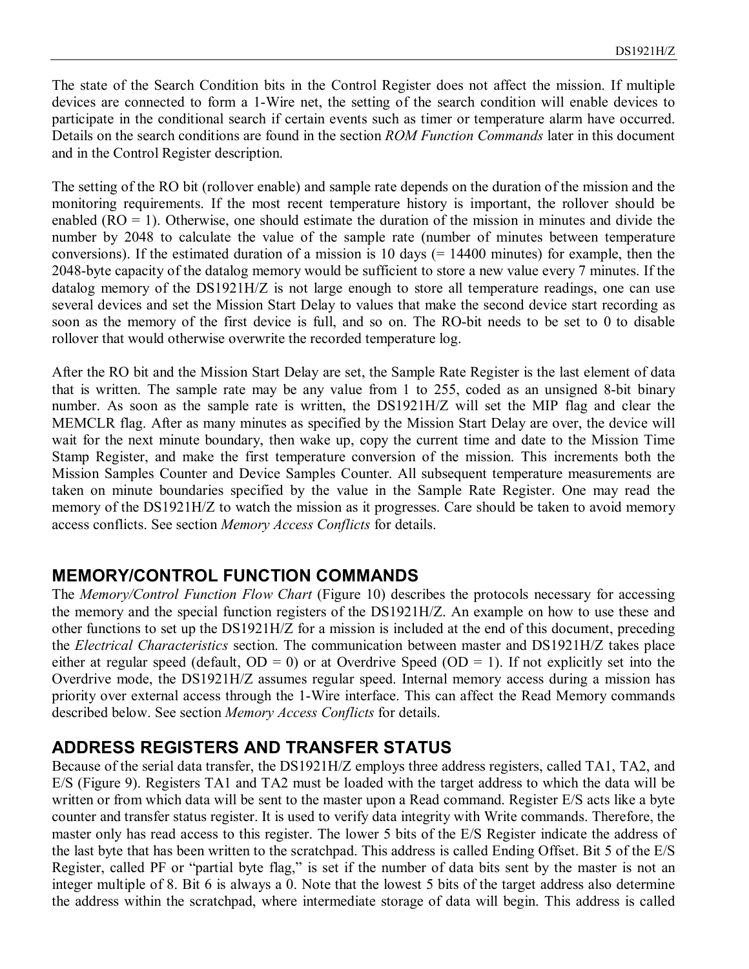The state of the Search Condition bits in the Control Register does not affect the mission. If multiple devices are connected to form a 1-Wire net, the setting of the search condition will enable devices to participate in the conditional search if certain events such as timer or temperature alarm have occurred. Details on the search conditions are found in the section *ROM Function Commands* later in this document and in the Control Register description.

The setting of the RO bit (rollover enable) and sample rate depends on the duration of the mission and the monitoring requirements. If the most recent temperature history is important, the rollover should be enabled  $(RO = 1)$ . Otherwise, one should estimate the duration of the mission in minutes and divide the number by 2048 to calculate the value of the sample rate (number of minutes between temperature conversions). If the estimated duration of a mission is 10 days  $(= 14400 \text{ minutes})$  for example, then the 2048-byte capacity of the datalog memory would be sufficient to store a new value every 7 minutes. If the datalog memory of the DS1921H/Z is not large enough to store all temperature readings, one can use several devices and set the Mission Start Delay to values that make the second device start recording as soon as the memory of the first device is full, and so on. The RO-bit needs to be set to 0 to disable rollover that would otherwise overwrite the recorded temperature log.

After the RO bit and the Mission Start Delay are set, the Sample Rate Register is the last element of data that is written. The sample rate may be any value from 1 to 255, coded as an unsigned 8-bit binary number. As soon as the sample rate is written, the DS1921H/Z will set the MIP flag and clear the MEMCLR flag. After as many minutes as specified by the Mission Start Delay are over, the device will wait for the next minute boundary, then wake up, copy the current time and date to the Mission Time Stamp Register, and make the first temperature conversion of the mission. This increments both the Mission Samples Counter and Device Samples Counter. All subsequent temperature measurements are taken on minute boundaries specified by the value in the Sample Rate Register. One may read the memory of the DS1921H/Z to watch the mission as it progresses. Care should be taken to avoid memory access conflicts. See section *Memory Access Conflicts* for details.

#### **MEMORY/CONTROL FUNCTION COMMANDS**

The *Memory/Control Function Flow Chart* (Figure 10) describes the protocols necessary for accessing the memory and the special function registers of the DS1921H/Z. An example on how to use these and other functions to set up the DS1921H/Z for a mission is included at the end of this document, preceding the *Electrical Characteristics* section. The communication between master and DS1921H/Z takes place either at regular speed (default,  $OD = 0$ ) or at Overdrive Speed ( $OD = 1$ ). If not explicitly set into the Overdrive mode, the DS1921H/Z assumes regular speed. Internal memory access during a mission has priority over external access through the 1-Wire interface. This can affect the Read Memory commands described below. See section *Memory Access Conflicts* for details.

#### **ADDRESS REGISTERS AND TRANSFER STATUS**

Because of the serial data transfer, the DS1921H/Z employs three address registers, called TA1, TA2, and E/S (Figure 9). Registers TA1 and TA2 must be loaded with the target address to which the data will be written or from which data will be sent to the master upon a Read command. Register E/S acts like a byte counter and transfer status register. It is used to verify data integrity with Write commands. Therefore, the master only has read access to this register. The lower 5 bits of the E/S Register indicate the address of the last byte that has been written to the scratchpad. This address is called Ending Offset. Bit 5 of the E/S Register, called PF or "partial byte flag," is set if the number of data bits sent by the master is not an integer multiple of 8. Bit 6 is always a 0. Note that the lowest 5 bits of the target address also determine the address within the scratchpad, where intermediate storage of data will begin. This address is called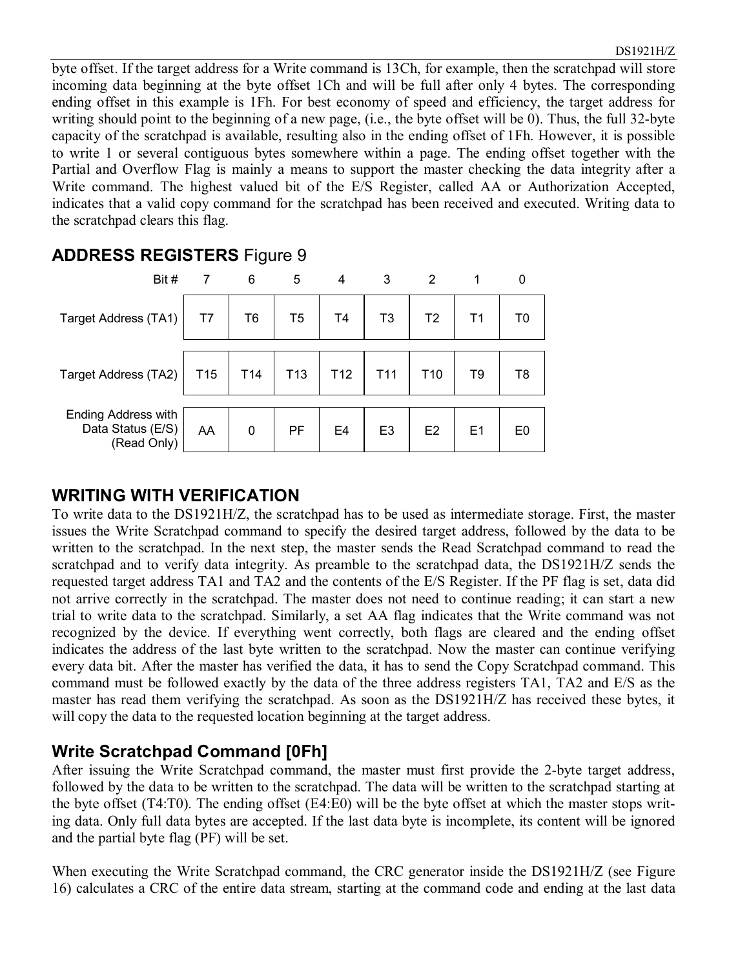byte offset. If the target address for a Write command is 13Ch, for example, then the scratchpad will store incoming data beginning at the byte offset 1Ch and will be full after only 4 bytes. The corresponding ending offset in this example is 1Fh. For best economy of speed and efficiency, the target address for writing should point to the beginning of a new page, (i.e., the byte offset will be 0). Thus, the full 32-byte capacity of the scratchpad is available, resulting also in the ending offset of 1Fh. However, it is possible to write 1 or several contiguous bytes somewhere within a page. The ending offset together with the Partial and Overflow Flag is mainly a means to support the master checking the data integrity after a Write command. The highest valued bit of the E/S Register, called AA or Authorization Accepted, indicates that a valid copy command for the scratchpad has been received and executed. Writing data to the scratchpad clears this flag.

#### **ADDRESS REGISTERS** Figure 9



#### **WRITING WITH VERIFICATION**

To write data to the DS1921H/Z, the scratchpad has to be used as intermediate storage. First, the master issues the Write Scratchpad command to specify the desired target address, followed by the data to be written to the scratchpad. In the next step, the master sends the Read Scratchpad command to read the scratchpad and to verify data integrity. As preamble to the scratchpad data, the DS1921H/Z sends the requested target address TA1 and TA2 and the contents of the E/S Register. If the PF flag is set, data did not arrive correctly in the scratchpad. The master does not need to continue reading; it can start a new trial to write data to the scratchpad. Similarly, a set AA flag indicates that the Write command was not recognized by the device. If everything went correctly, both flags are cleared and the ending offset indicates the address of the last byte written to the scratchpad. Now the master can continue verifying every data bit. After the master has verified the data, it has to send the Copy Scratchpad command. This command must be followed exactly by the data of the three address registers TA1, TA2 and E/S as the master has read them verifying the scratchpad. As soon as the DS1921H/Z has received these bytes, it will copy the data to the requested location beginning at the target address.

#### **Write Scratchpad Command [0Fh]**

After issuing the Write Scratchpad command, the master must first provide the 2-byte target address, followed by the data to be written to the scratchpad. The data will be written to the scratchpad starting at the byte offset (T4:T0). The ending offset (E4:E0) will be the byte offset at which the master stops writing data. Only full data bytes are accepted. If the last data byte is incomplete, its content will be ignored and the partial byte flag (PF) will be set.

When executing the Write Scratchpad command, the CRC generator inside the DS1921H/Z (see Figure 16) calculates a CRC of the entire data stream, starting at the command code and ending at the last data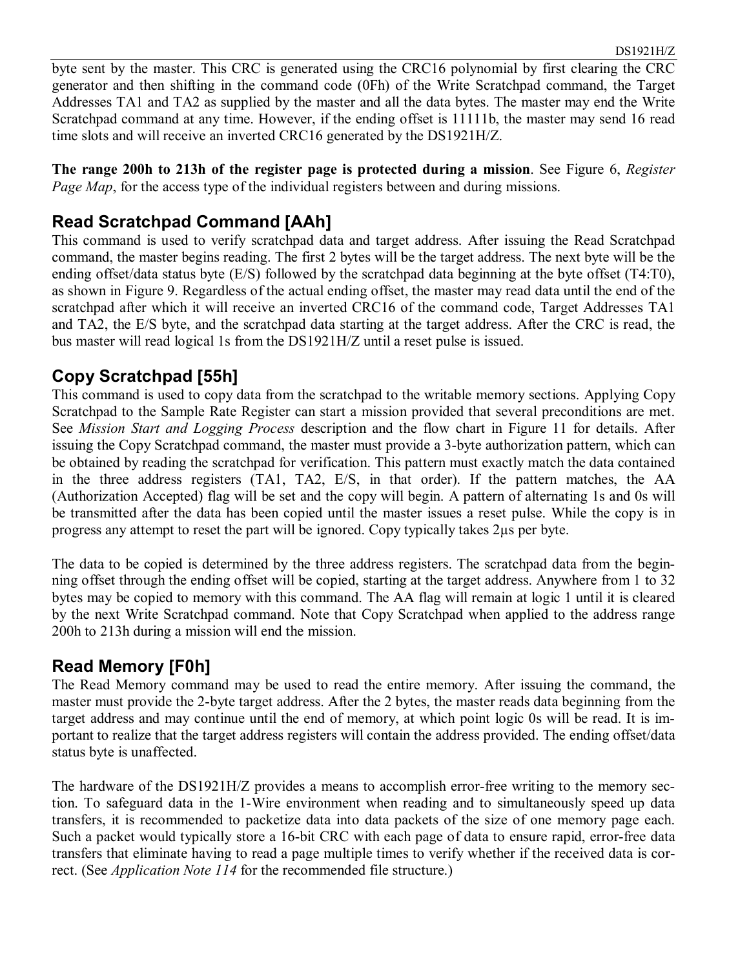byte sent by the master. This CRC is generated using the CRC16 polynomial by first clearing the CRC generator and then shifting in the command code (0Fh) of the Write Scratchpad command, the Target Addresses TA1 and TA2 as supplied by the master and all the data bytes. The master may end the Write Scratchpad command at any time. However, if the ending offset is 11111b, the master may send 16 read time slots and will receive an inverted CRC16 generated by the DS1921H/Z.

**The range 200h to 213h of the register page is protected during a mission**. See Figure 6, *Register Page Map*, for the access type of the individual registers between and during missions.

#### **Read Scratchpad Command [AAh]**

This command is used to verify scratchpad data and target address. After issuing the Read Scratchpad command, the master begins reading. The first 2 bytes will be the target address. The next byte will be the ending offset/data status byte (E/S) followed by the scratchpad data beginning at the byte offset (T4:T0), as shown in Figure 9. Regardless of the actual ending offset, the master may read data until the end of the scratchpad after which it will receive an inverted CRC16 of the command code, Target Addresses TA1 and TA2, the E/S byte, and the scratchpad data starting at the target address. After the CRC is read, the bus master will read logical 1s from the DS1921H/Z until a reset pulse is issued.

#### **Copy Scratchpad [55h]**

This command is used to copy data from the scratchpad to the writable memory sections. Applying Copy Scratchpad to the Sample Rate Register can start a mission provided that several preconditions are met. See *Mission Start and Logging Process* description and the flow chart in Figure 11 for details. After issuing the Copy Scratchpad command, the master must provide a 3-byte authorization pattern, which can be obtained by reading the scratchpad for verification. This pattern must exactly match the data contained in the three address registers (TA1, TA2, E/S, in that order). If the pattern matches, the AA (Authorization Accepted) flag will be set and the copy will begin. A pattern of alternating 1s and 0s will be transmitted after the data has been copied until the master issues a reset pulse. While the copy is in progress any attempt to reset the part will be ignored. Copy typically takes 2µs per byte.

The data to be copied is determined by the three address registers. The scratchpad data from the beginning offset through the ending offset will be copied, starting at the target address. Anywhere from 1 to 32 bytes may be copied to memory with this command. The AA flag will remain at logic 1 until it is cleared by the next Write Scratchpad command. Note that Copy Scratchpad when applied to the address range 200h to 213h during a mission will end the mission.

#### **Read Memory [F0h]**

The Read Memory command may be used to read the entire memory. After issuing the command, the master must provide the 2-byte target address. After the 2 bytes, the master reads data beginning from the target address and may continue until the end of memory, at which point logic 0s will be read. It is important to realize that the target address registers will contain the address provided. The ending offset/data status byte is unaffected.

The hardware of the DS1921H/Z provides a means to accomplish error-free writing to the memory section. To safeguard data in the 1-Wire environment when reading and to simultaneously speed up data transfers, it is recommended to packetize data into data packets of the size of one memory page each. Such a packet would typically store a 16-bit CRC with each page of data to ensure rapid, error-free data transfers that eliminate having to read a page multiple times to verify whether if the received data is correct. (See *Application Note 114* for the recommended file structure.)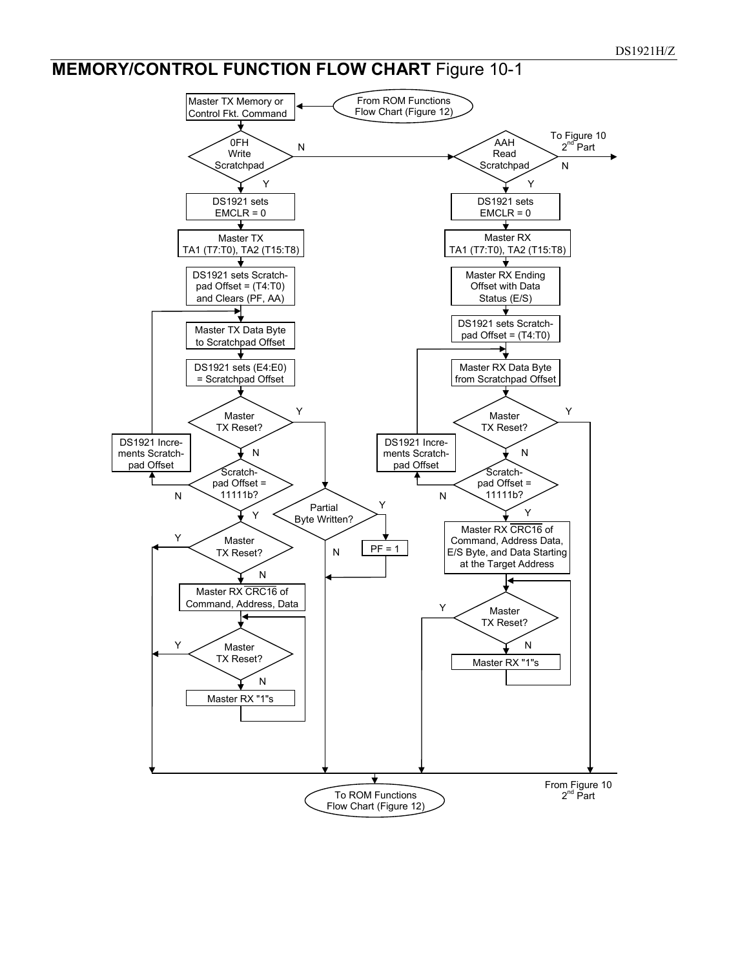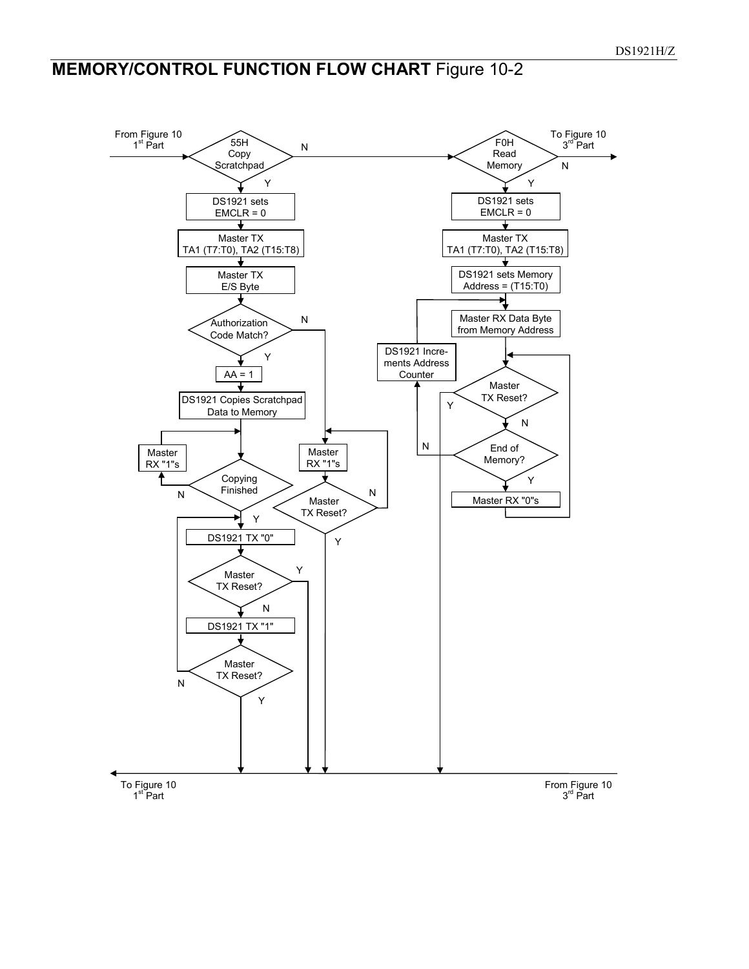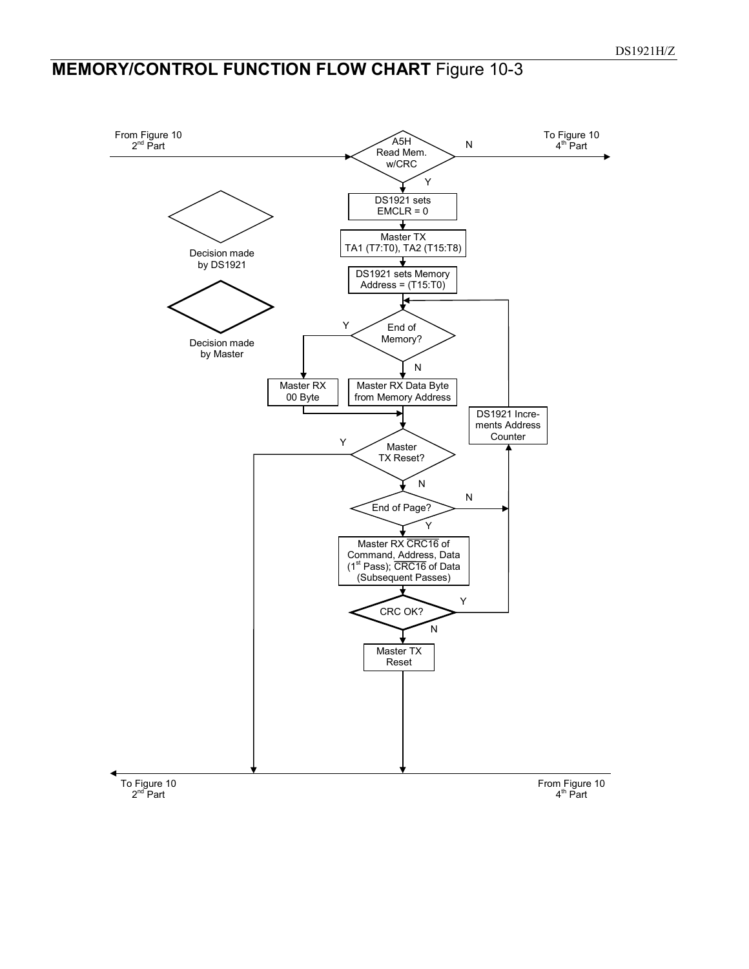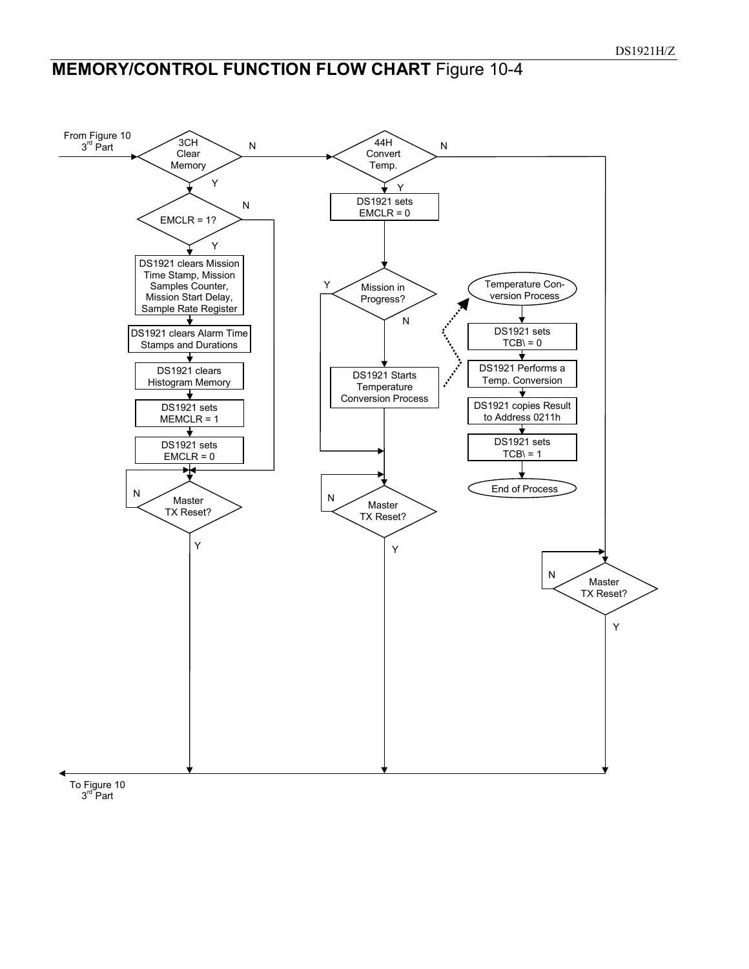

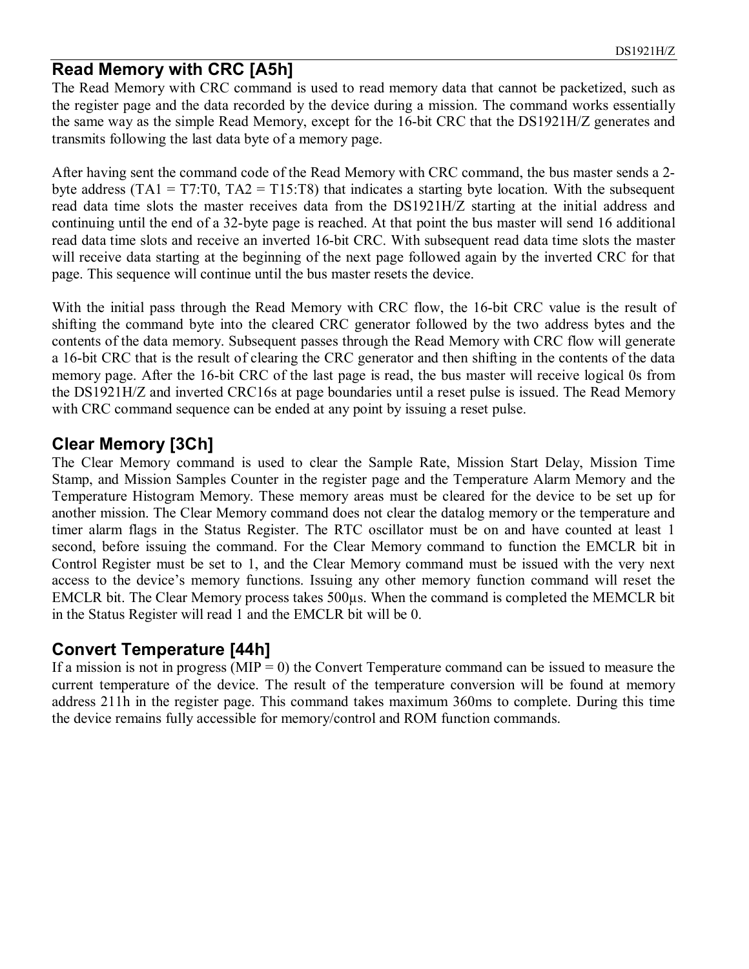#### **Read Memory with CRC [A5h]**

The Read Memory with CRC command is used to read memory data that cannot be packetized, such as the register page and the data recorded by the device during a mission. The command works essentially the same way as the simple Read Memory, except for the 16-bit CRC that the DS1921H/Z generates and transmits following the last data byte of a memory page.

After having sent the command code of the Read Memory with CRC command, the bus master sends a 2 byte address (TA1 = T7:T0, TA2 = T15:T8) that indicates a starting byte location. With the subsequent read data time slots the master receives data from the DS1921H/Z starting at the initial address and continuing until the end of a 32-byte page is reached. At that point the bus master will send 16 additional read data time slots and receive an inverted 16-bit CRC. With subsequent read data time slots the master will receive data starting at the beginning of the next page followed again by the inverted CRC for that page. This sequence will continue until the bus master resets the device.

With the initial pass through the Read Memory with CRC flow, the 16-bit CRC value is the result of shifting the command byte into the cleared CRC generator followed by the two address bytes and the contents of the data memory. Subsequent passes through the Read Memory with CRC flow will generate a 16-bit CRC that is the result of clearing the CRC generator and then shifting in the contents of the data memory page. After the 16-bit CRC of the last page is read, the bus master will receive logical 0s from the DS1921H/Z and inverted CRC16s at page boundaries until a reset pulse is issued. The Read Memory with CRC command sequence can be ended at any point by issuing a reset pulse.

#### **Clear Memory [3Ch]**

The Clear Memory command is used to clear the Sample Rate, Mission Start Delay, Mission Time Stamp, and Mission Samples Counter in the register page and the Temperature Alarm Memory and the Temperature Histogram Memory. These memory areas must be cleared for the device to be set up for another mission. The Clear Memory command does not clear the datalog memory or the temperature and timer alarm flags in the Status Register. The RTC oscillator must be on and have counted at least 1 second, before issuing the command. For the Clear Memory command to function the EMCLR bit in Control Register must be set to 1, and the Clear Memory command must be issued with the very next access to the device's memory functions. Issuing any other memory function command will reset the EMCLR bit. The Clear Memory process takes 500µs. When the command is completed the MEMCLR bit in the Status Register will read 1 and the EMCLR bit will be 0.

#### **Convert Temperature [44h]**

If a mission is not in progress ( $MIP = 0$ ) the Convert Temperature command can be issued to measure the current temperature of the device. The result of the temperature conversion will be found at memory address 211h in the register page. This command takes maximum 360ms to complete. During this time the device remains fully accessible for memory/control and ROM function commands.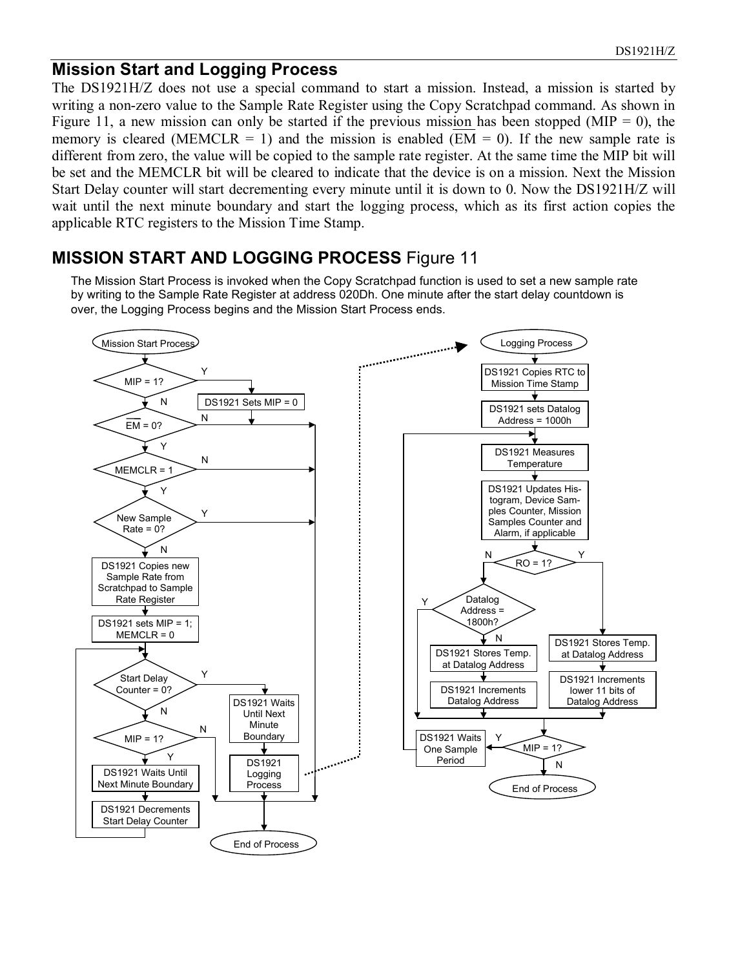#### **Mission Start and Logging Process**

The DS1921H/Z does not use a special command to start a mission. Instead, a mission is started by writing a non-zero value to the Sample Rate Register using the Copy Scratchpad command. As shown in Figure 11, a new mission can only be started if the previous mission has been stopped (MIP = 0), the memory is cleared (MEMCLR = 1) and the mission is enabled (EM = 0). If the new sample rate is different from zero, the value will be copied to the sample rate register. At the same time the MIP bit will be set and the MEMCLR bit will be cleared to indicate that the device is on a mission. Next the Mission Start Delay counter will start decrementing every minute until it is down to 0. Now the DS1921H/Z will wait until the next minute boundary and start the logging process, which as its first action copies the applicable RTC registers to the Mission Time Stamp.

#### **MISSION START AND LOGGING PROCESS** Figure 11

The Mission Start Process is invoked when the Copy Scratchpad function is used to set a new sample rate by writing to the Sample Rate Register at address 020Dh. One minute after the start delay countdown is over, the Logging Process begins and the Mission Start Process ends.

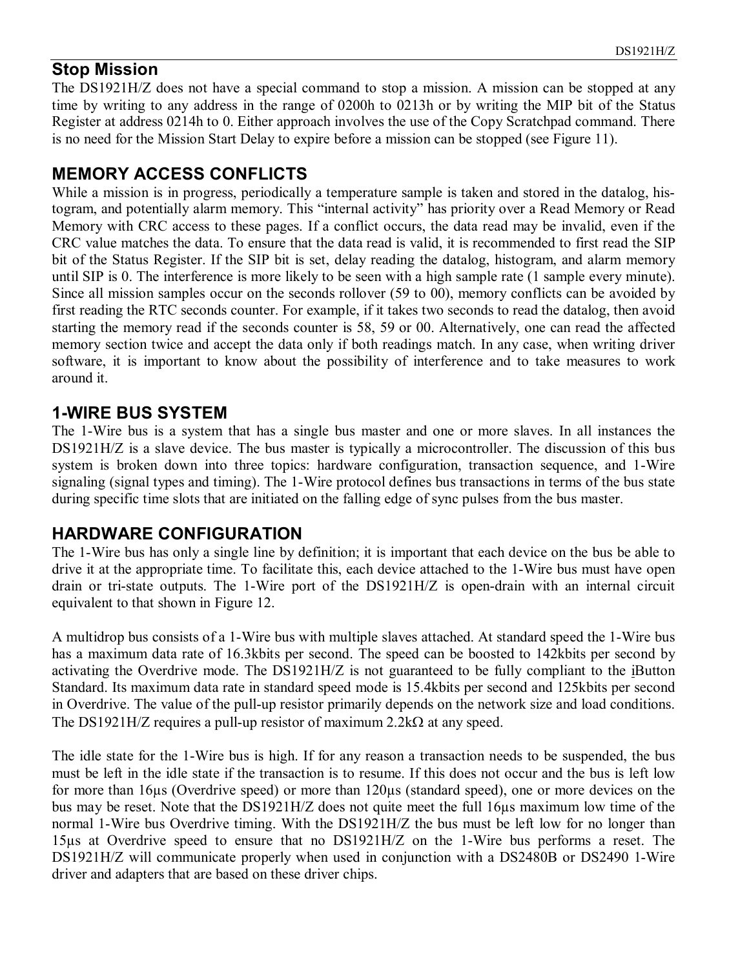#### **Stop Mission**

The DS1921H/Z does not have a special command to stop a mission. A mission can be stopped at any time by writing to any address in the range of 0200h to 0213h or by writing the MIP bit of the Status Register at address 0214h to 0. Either approach involves the use of the Copy Scratchpad command. There is no need for the Mission Start Delay to expire before a mission can be stopped (see Figure 11).

#### **MEMORY ACCESS CONFLICTS**

While a mission is in progress, periodically a temperature sample is taken and stored in the datalog, histogram, and potentially alarm memory. This "internal activity" has priority over a Read Memory or Read Memory with CRC access to these pages. If a conflict occurs, the data read may be invalid, even if the CRC value matches the data. To ensure that the data read is valid, it is recommended to first read the SIP bit of the Status Register. If the SIP bit is set, delay reading the datalog, histogram, and alarm memory until SIP is 0. The interference is more likely to be seen with a high sample rate (1 sample every minute). Since all mission samples occur on the seconds rollover (59 to 00), memory conflicts can be avoided by first reading the RTC seconds counter. For example, if it takes two seconds to read the datalog, then avoid starting the memory read if the seconds counter is 58, 59 or 00. Alternatively, one can read the affected memory section twice and accept the data only if both readings match. In any case, when writing driver software, it is important to know about the possibility of interference and to take measures to work around it.

#### **1-WIRE BUS SYSTEM**

The 1-Wire bus is a system that has a single bus master and one or more slaves. In all instances the DS1921H/Z is a slave device. The bus master is typically a microcontroller. The discussion of this bus system is broken down into three topics: hardware configuration, transaction sequence, and 1-Wire signaling (signal types and timing). The 1-Wire protocol defines bus transactions in terms of the bus state during specific time slots that are initiated on the falling edge of sync pulses from the bus master.

#### **HARDWARE CONFIGURATION**

The 1-Wire bus has only a single line by definition; it is important that each device on the bus be able to drive it at the appropriate time. To facilitate this, each device attached to the 1-Wire bus must have open drain or tri-state outputs. The 1-Wire port of the DS1921H/Z is open-drain with an internal circuit equivalent to that shown in Figure 12.

A multidrop bus consists of a 1-Wire bus with multiple slaves attached. At standard speed the 1-Wire bus has a maximum data rate of 16.3kbits per second. The speed can be boosted to 142kbits per second by activating the Overdrive mode. The DS1921H/Z is not guaranteed to be fully compliant to the iButton Standard. Its maximum data rate in standard speed mode is 15.4kbits per second and 125kbits per second in Overdrive. The value of the pull-up resistor primarily depends on the network size and load conditions. The DS1921H/Z requires a pull-up resistor of maximum 2.2kΩ at any speed.

The idle state for the 1-Wire bus is high. If for any reason a transaction needs to be suspended, the bus must be left in the idle state if the transaction is to resume. If this does not occur and the bus is left low for more than 16µs (Overdrive speed) or more than 120µs (standard speed), one or more devices on the bus may be reset. Note that the DS1921H/Z does not quite meet the full 16µs maximum low time of the normal 1-Wire bus Overdrive timing. With the DS1921H/Z the bus must be left low for no longer than 15µs at Overdrive speed to ensure that no DS1921H/Z on the 1-Wire bus performs a reset. The DS1921H/Z will communicate properly when used in conjunction with a DS2480B or DS2490 1-Wire driver and adapters that are based on these driver chips.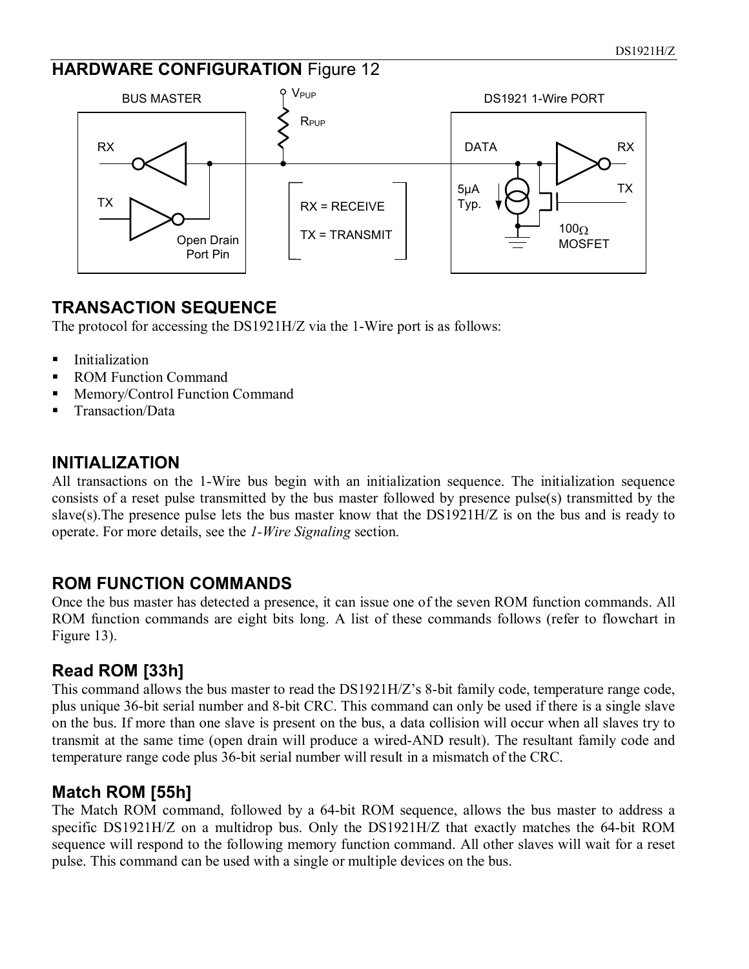#### **HARDWARE CONFIGURATION Figure 12**



#### **TRANSACTION SEQUENCE**

The protocol for accessing the DS1921H/Z via the 1-Wire port is as follows:

- **Initialization**
- ROM Function Command
- **Memory/Control Function Command**
- Transaction/Data

#### **INITIALIZATION**

All transactions on the 1-Wire bus begin with an initialization sequence. The initialization sequence consists of a reset pulse transmitted by the bus master followed by presence pulse(s) transmitted by the slave(s).The presence pulse lets the bus master know that the DS1921H/Z is on the bus and is ready to operate. For more details, see the *1-Wire Signaling* section.

#### **ROM FUNCTION COMMANDS**

Once the bus master has detected a presence, it can issue one of the seven ROM function commands. All ROM function commands are eight bits long. A list of these commands follows (refer to flowchart in Figure 13).

#### **Read ROM [33h]**

This command allows the bus master to read the DS1921H/Z's 8-bit family code, temperature range code, plus unique 36-bit serial number and 8-bit CRC. This command can only be used if there is a single slave on the bus. If more than one slave is present on the bus, a data collision will occur when all slaves try to transmit at the same time (open drain will produce a wired-AND result). The resultant family code and temperature range code plus 36-bit serial number will result in a mismatch of the CRC.

#### **Match ROM [55h]**

The Match ROM command, followed by a 64-bit ROM sequence, allows the bus master to address a specific DS1921H/Z on a multidrop bus. Only the DS1921H/Z that exactly matches the 64-bit ROM sequence will respond to the following memory function command. All other slaves will wait for a reset pulse. This command can be used with a single or multiple devices on the bus.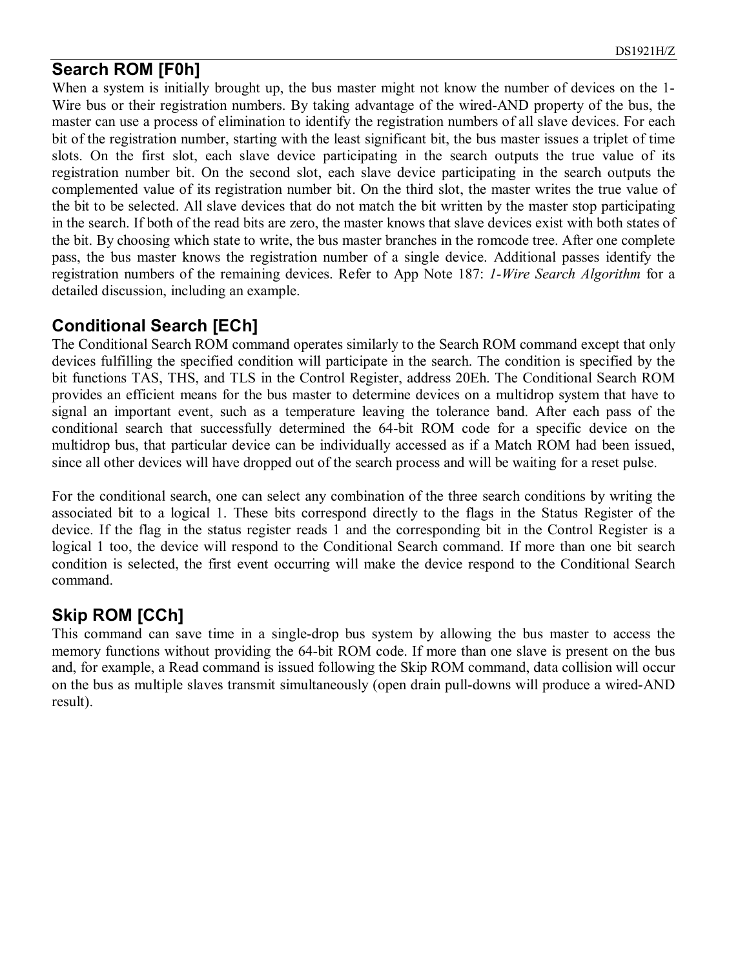#### **Search ROM [F0h]**

When a system is initially brought up, the bus master might not know the number of devices on the 1-Wire bus or their registration numbers. By taking advantage of the wired-AND property of the bus, the master can use a process of elimination to identify the registration numbers of all slave devices. For each bit of the registration number, starting with the least significant bit, the bus master issues a triplet of time slots. On the first slot, each slave device participating in the search outputs the true value of its registration number bit. On the second slot, each slave device participating in the search outputs the complemented value of its registration number bit. On the third slot, the master writes the true value of the bit to be selected. All slave devices that do not match the bit written by the master stop participating in the search. If both of the read bits are zero, the master knows that slave devices exist with both states of the bit. By choosing which state to write, the bus master branches in the romcode tree. After one complete pass, the bus master knows the registration number of a single device. Additional passes identify the registration numbers of the remaining devices. Refer to App Note 187: *1-Wire Search Algorithm* for a detailed discussion, including an example.

#### **Conditional Search [ECh]**

The Conditional Search ROM command operates similarly to the Search ROM command except that only devices fulfilling the specified condition will participate in the search. The condition is specified by the bit functions TAS, THS, and TLS in the Control Register, address 20Eh. The Conditional Search ROM provides an efficient means for the bus master to determine devices on a multidrop system that have to signal an important event, such as a temperature leaving the tolerance band. After each pass of the conditional search that successfully determined the 64-bit ROM code for a specific device on the multidrop bus, that particular device can be individually accessed as if a Match ROM had been issued, since all other devices will have dropped out of the search process and will be waiting for a reset pulse.

For the conditional search, one can select any combination of the three search conditions by writing the associated bit to a logical 1. These bits correspond directly to the flags in the Status Register of the device. If the flag in the status register reads 1 and the corresponding bit in the Control Register is a logical 1 too, the device will respond to the Conditional Search command. If more than one bit search condition is selected, the first event occurring will make the device respond to the Conditional Search command.

### **Skip ROM [CCh]**

This command can save time in a single-drop bus system by allowing the bus master to access the memory functions without providing the 64-bit ROM code. If more than one slave is present on the bus and, for example, a Read command is issued following the Skip ROM command, data collision will occur on the bus as multiple slaves transmit simultaneously (open drain pull-downs will produce a wired-AND result).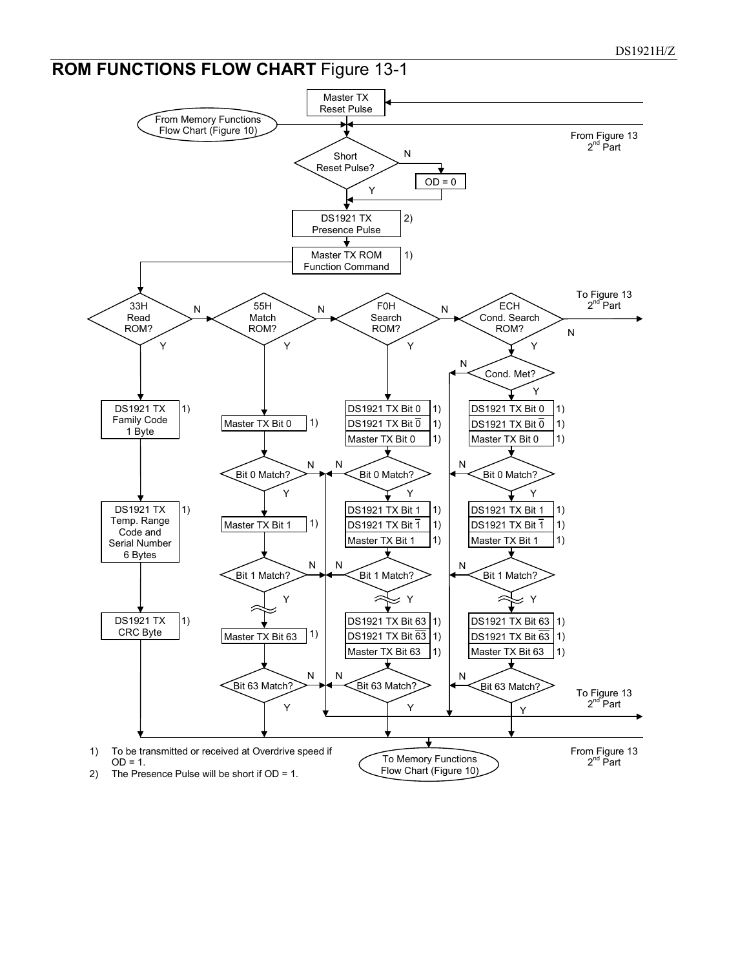### **ROM FUNCTIONS FLOW CHART** Figure 13-1

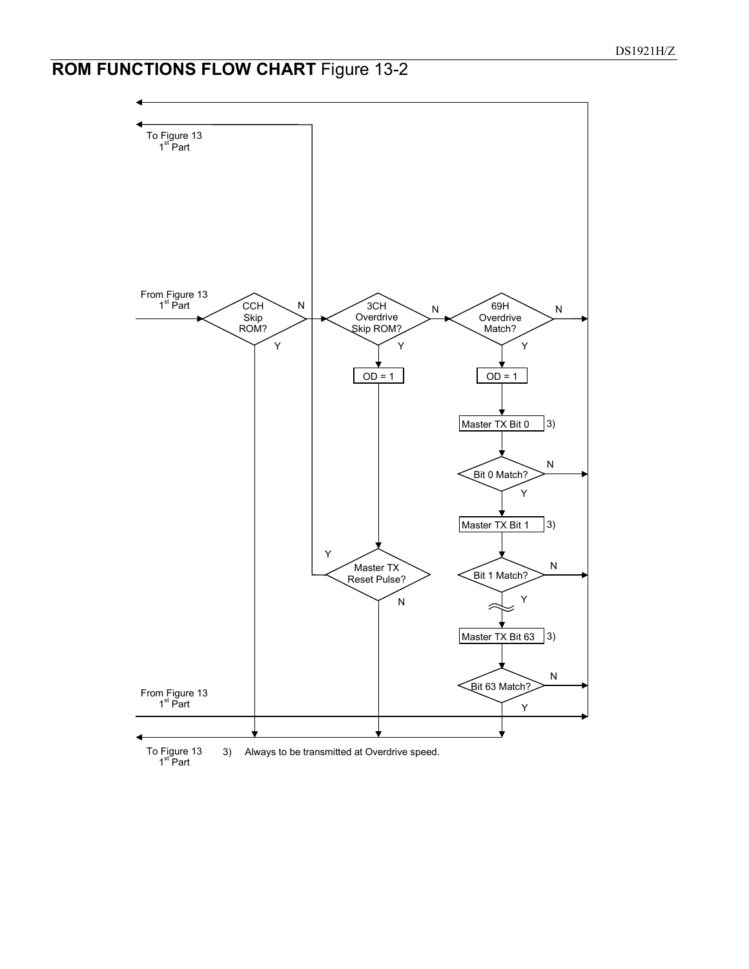## **ROM FUNCTIONS FLOW CHART** Figure 13-2



To Figure 13<br>1<sup>st</sup> Part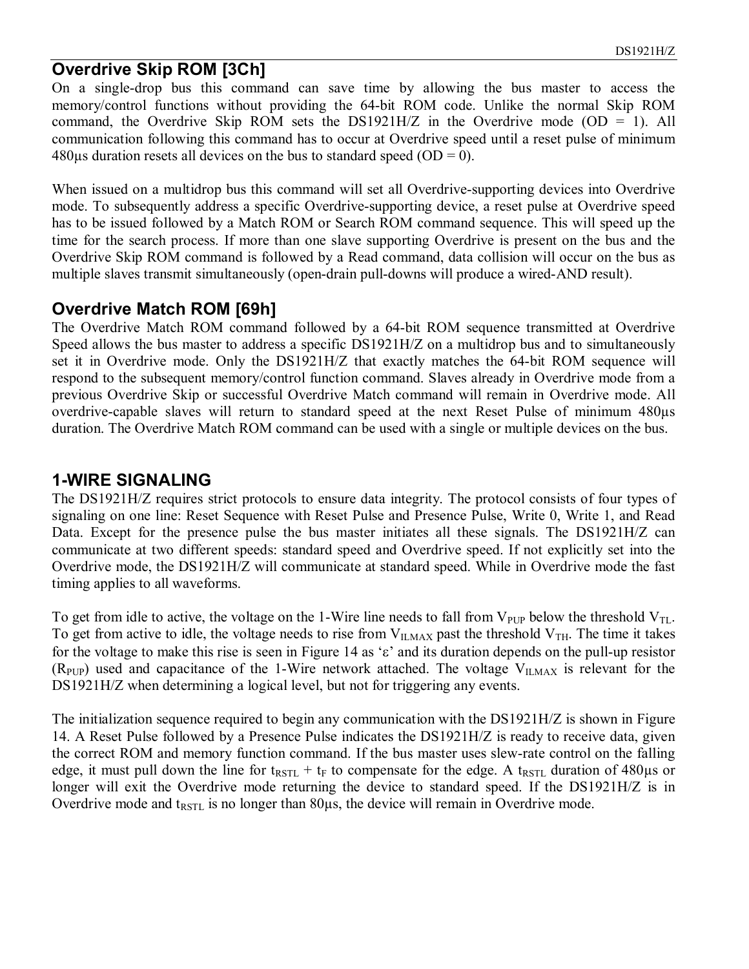#### **Overdrive Skip ROM [3Ch]**

On a single-drop bus this command can save time by allowing the bus master to access the memory/control functions without providing the 64-bit ROM code. Unlike the normal Skip ROM command, the Overdrive Skip ROM sets the DS1921H/Z in the Overdrive mode  $(OD = 1)$ . All communication following this command has to occur at Overdrive speed until a reset pulse of minimum  $480\mu s$  duration resets all devices on the bus to standard speed (OD = 0).

When issued on a multidrop bus this command will set all Overdrive-supporting devices into Overdrive mode. To subsequently address a specific Overdrive-supporting device, a reset pulse at Overdrive speed has to be issued followed by a Match ROM or Search ROM command sequence. This will speed up the time for the search process. If more than one slave supporting Overdrive is present on the bus and the Overdrive Skip ROM command is followed by a Read command, data collision will occur on the bus as multiple slaves transmit simultaneously (open-drain pull-downs will produce a wired-AND result).

#### **Overdrive Match ROM [69h]**

The Overdrive Match ROM command followed by a 64-bit ROM sequence transmitted at Overdrive Speed allows the bus master to address a specific DS1921H/Z on a multidrop bus and to simultaneously set it in Overdrive mode. Only the DS1921H/Z that exactly matches the 64-bit ROM sequence will respond to the subsequent memory/control function command. Slaves already in Overdrive mode from a previous Overdrive Skip or successful Overdrive Match command will remain in Overdrive mode. All overdrive-capable slaves will return to standard speed at the next Reset Pulse of minimum 480µs duration. The Overdrive Match ROM command can be used with a single or multiple devices on the bus.

#### **1-WIRE SIGNALING**

The DS1921H/Z requires strict protocols to ensure data integrity. The protocol consists of four types of signaling on one line: Reset Sequence with Reset Pulse and Presence Pulse, Write 0, Write 1, and Read Data. Except for the presence pulse the bus master initiates all these signals. The DS1921H/Z can communicate at two different speeds: standard speed and Overdrive speed. If not explicitly set into the Overdrive mode, the DS1921H/Z will communicate at standard speed. While in Overdrive mode the fast timing applies to all waveforms.

To get from idle to active, the voltage on the 1-Wire line needs to fall from  $V_{\text{PUP}}$  below the threshold  $V_{\text{TL}}$ . To get from active to idle, the voltage needs to rise from  $V_{\text{ILMAX}}$  past the threshold  $V_{\text{TH}}$ . The time it takes for the voltage to make this rise is seen in Figure 14 as 'ε' and its duration depends on the pull-up resistor  $(R_{PIP})$  used and capacitance of the 1-Wire network attached. The voltage  $V_{ILMAX}$  is relevant for the DS1921H/Z when determining a logical level, but not for triggering any events.

The initialization sequence required to begin any communication with the DS1921H/Z is shown in Figure 14. A Reset Pulse followed by a Presence Pulse indicates the DS1921H/Z is ready to receive data, given the correct ROM and memory function command. If the bus master uses slew-rate control on the falling edge, it must pull down the line for t<sub>RSTL</sub> + t<sub>F</sub> to compensate for the edge. A t<sub>RSTL</sub> duration of 480µs or longer will exit the Overdrive mode returning the device to standard speed. If the DS1921H/Z is in Overdrive mode and  $t_{\text{RSTL}}$  is no longer than  $80\mu s$ , the device will remain in Overdrive mode.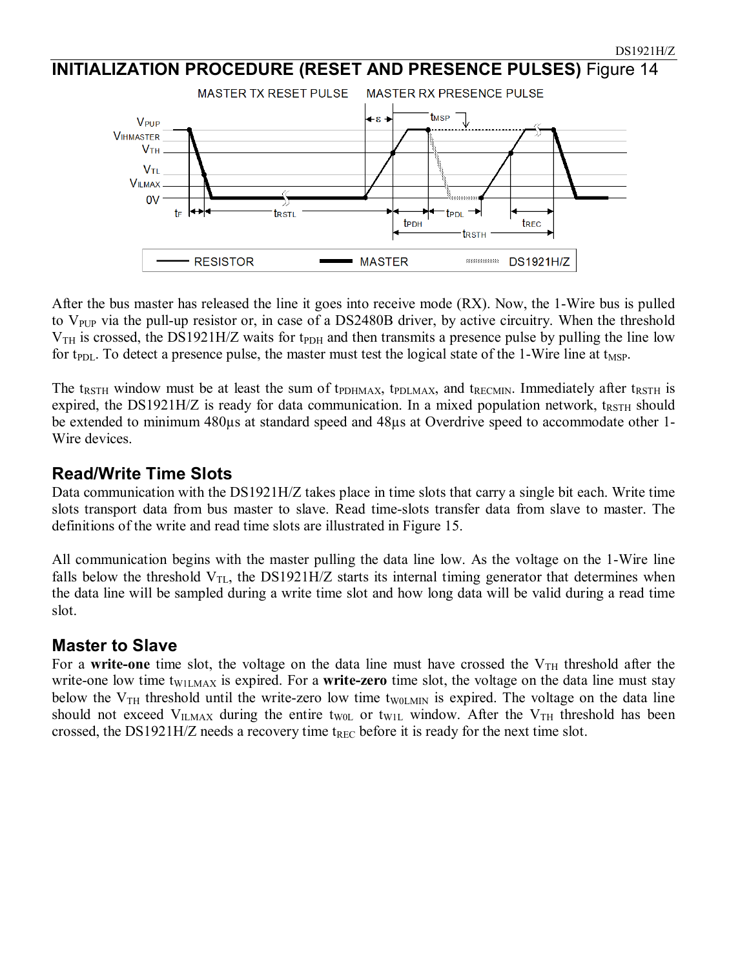#### **INITIALIZATION PROCEDURE (RESET AND PRESENCE PULSES)** Figure 14 **MASTER TX RESET PULSE** MASTER RX PRESENCE PULSE tmsp +ε → V<sub>PUP</sub> **VIHMASTER**  $V<sub>TH</sub>$  $V_{TL}$



t<sub>PDL</sub>

trsth

t<sub>REC</sub>

t<sub>PDH</sub>

The t<sub>RSTH</sub> window must be at least the sum of t<sub>PDHMAX</sub>, t<sub>PDLMAX</sub>, and t<sub>RECMIN</sub>. Immediately after t<sub>RSTH</sub> is expired, the DS1921H/Z is ready for data communication. In a mixed population network,  $t_{RSTH}$  should be extended to minimum 480µs at standard speed and 48µs at Overdrive speed to accommodate other 1- Wire devices.

for t<sub>PDL</sub>. To detect a presence pulse, the master must test the logical state of the 1-Wire line at t<sub>MSP</sub>.

trstl

#### **Read/Write Time Slots**

**VILMAX** <sub>0V</sub>

tF

Data communication with the DS1921H/Z takes place in time slots that carry a single bit each. Write time slots transport data from bus master to slave. Read time-slots transfer data from slave to master. The definitions of the write and read time slots are illustrated in Figure 15.

All communication begins with the master pulling the data line low. As the voltage on the 1-Wire line falls below the threshold  $V_{TL}$ , the DS1921H/Z starts its internal timing generator that determines when the data line will be sampled during a write time slot and how long data will be valid during a read time slot.

#### **Master to Slave**

For a write-one time slot, the voltage on the data line must have crossed the  $V<sub>TH</sub>$  threshold after the write-one low time t<sub>W1LMAX</sub> is expired. For a **write-zero** time slot, the voltage on the data line must stay below the  $V_{TH}$  threshold until the write-zero low time t<sub>W0LMIN</sub> is expired. The voltage on the data line should not exceed  $V_{ILMAX}$  during the entire t<sub>W0L</sub> or t<sub>W1L</sub> window. After the  $V_{TH}$  threshold has been crossed, the DS1921H/Z needs a recovery time  $t_{REC}$  before it is ready for the next time slot.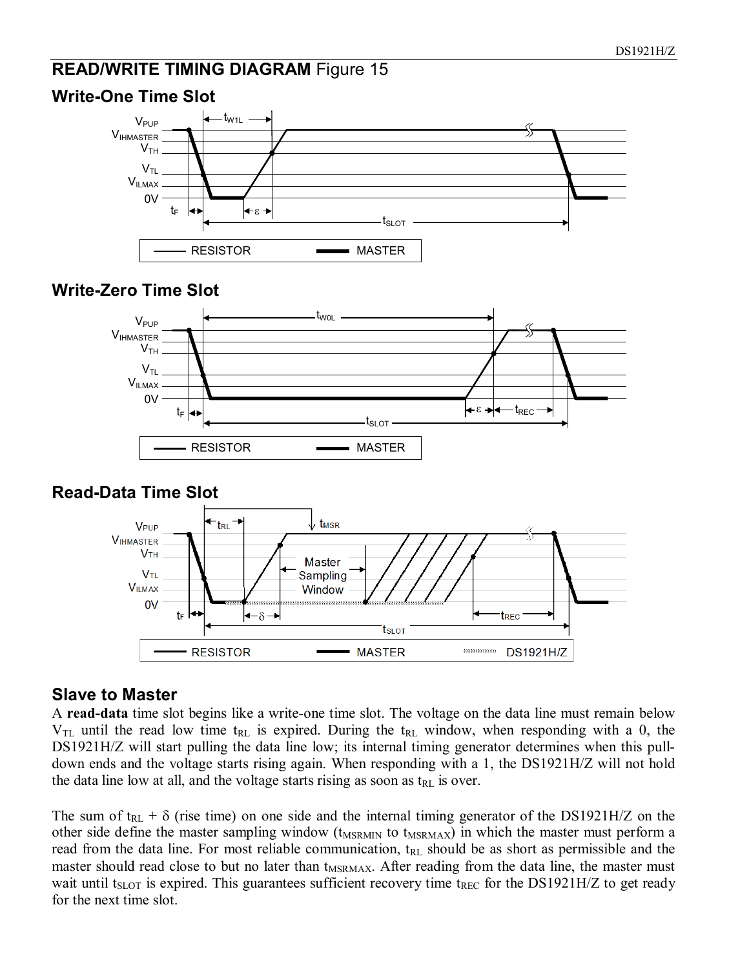#### **READ/WRITE TIMING DIAGRAM Figure 15**



#### **Write-One Time Slot**

#### **Write-Zero Time Slot**



#### **Read-Data Time Slot**



#### **Slave to Master**

A **read-data** time slot begins like a write-one time slot. The voltage on the data line must remain below  $V_{TL}$  until the read low time t<sub>RL</sub> is expired. During the t<sub>RL</sub> window, when responding with a 0, the DS1921H/Z will start pulling the data line low; its internal timing generator determines when this pulldown ends and the voltage starts rising again. When responding with a 1, the DS1921H/Z will not hold the data line low at all, and the voltage starts rising as soon as  $t_{RL}$  is over.

The sum of t<sub>RL</sub> +  $\delta$  (rise time) on one side and the internal timing generator of the DS1921H/Z on the other side define the master sampling window (t<sub>MSRMIN</sub> to t<sub>MSRMAX</sub>) in which the master must perform a read from the data line. For most reliable communication,  $t_{RL}$  should be as short as permissible and the master should read close to but no later than  $t_{MSRMAX}$ . After reading from the data line, the master must wait until  $t_{\text{SLOT}}$  is expired. This guarantees sufficient recovery time  $t_{\text{REC}}$  for the DS1921H/Z to get ready for the next time slot.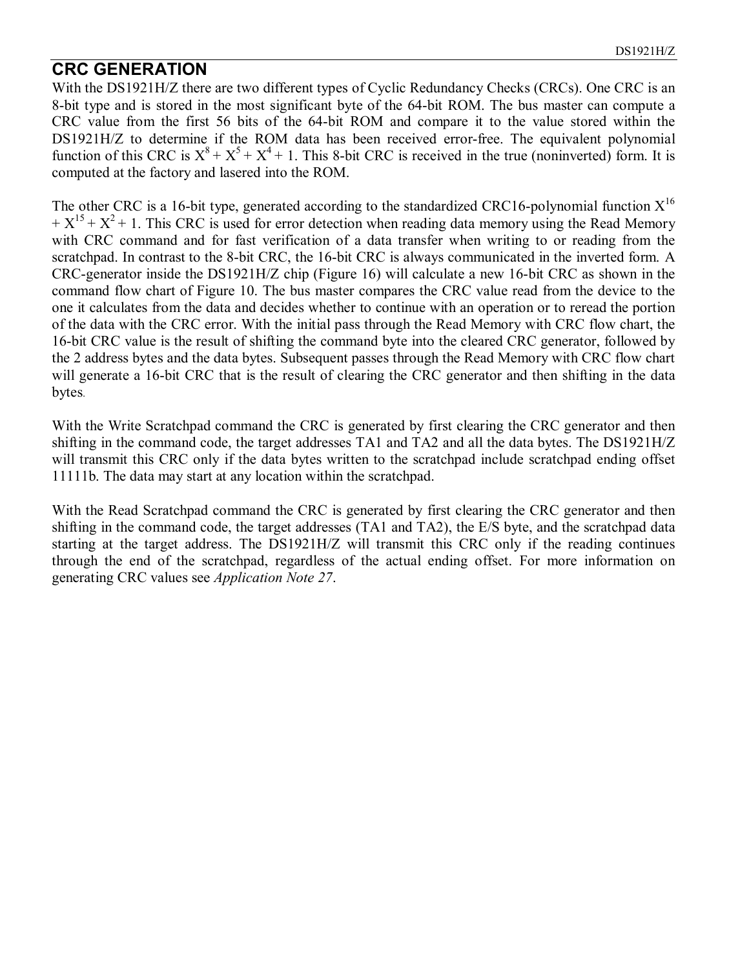#### **CRC GENERATION**

With the DS1921H/Z there are two different types of Cyclic Redundancy Checks (CRCs). One CRC is an 8-bit type and is stored in the most significant byte of the 64-bit ROM. The bus master can compute a CRC value from the first 56 bits of the 64-bit ROM and compare it to the value stored within the DS1921H/Z to determine if the ROM data has been received error-free. The equivalent polynomial function of this CRC is  $X^8 + X^5 + X^4 + 1$ . This 8-bit CRC is received in the true (noninverted) form. It is computed at the factory and lasered into the ROM.

The other CRC is a 16-bit type, generated according to the standardized CRC16-polynomial function  $X^{16}$  $+ X^{15} + X^2 + 1$ . This CRC is used for error detection when reading data memory using the Read Memory with CRC command and for fast verification of a data transfer when writing to or reading from the scratchpad. In contrast to the 8-bit CRC, the 16-bit CRC is always communicated in the inverted form. A CRC-generator inside the DS1921H/Z chip (Figure 16) will calculate a new 16-bit CRC as shown in the command flow chart of Figure 10. The bus master compares the CRC value read from the device to the one it calculates from the data and decides whether to continue with an operation or to reread the portion of the data with the CRC error. With the initial pass through the Read Memory with CRC flow chart, the 16-bit CRC value is the result of shifting the command byte into the cleared CRC generator, followed by the 2 address bytes and the data bytes. Subsequent passes through the Read Memory with CRC flow chart will generate a 16-bit CRC that is the result of clearing the CRC generator and then shifting in the data bytes.

With the Write Scratchpad command the CRC is generated by first clearing the CRC generator and then shifting in the command code, the target addresses TA1 and TA2 and all the data bytes. The DS1921H/Z will transmit this CRC only if the data bytes written to the scratchpad include scratchpad ending offset 11111b. The data may start at any location within the scratchpad.

With the Read Scratchpad command the CRC is generated by first clearing the CRC generator and then shifting in the command code, the target addresses (TA1 and TA2), the E/S byte, and the scratchpad data starting at the target address. The DS1921H/Z will transmit this CRC only if the reading continues through the end of the scratchpad, regardless of the actual ending offset. For more information on generating CRC values see *Application Note 27*.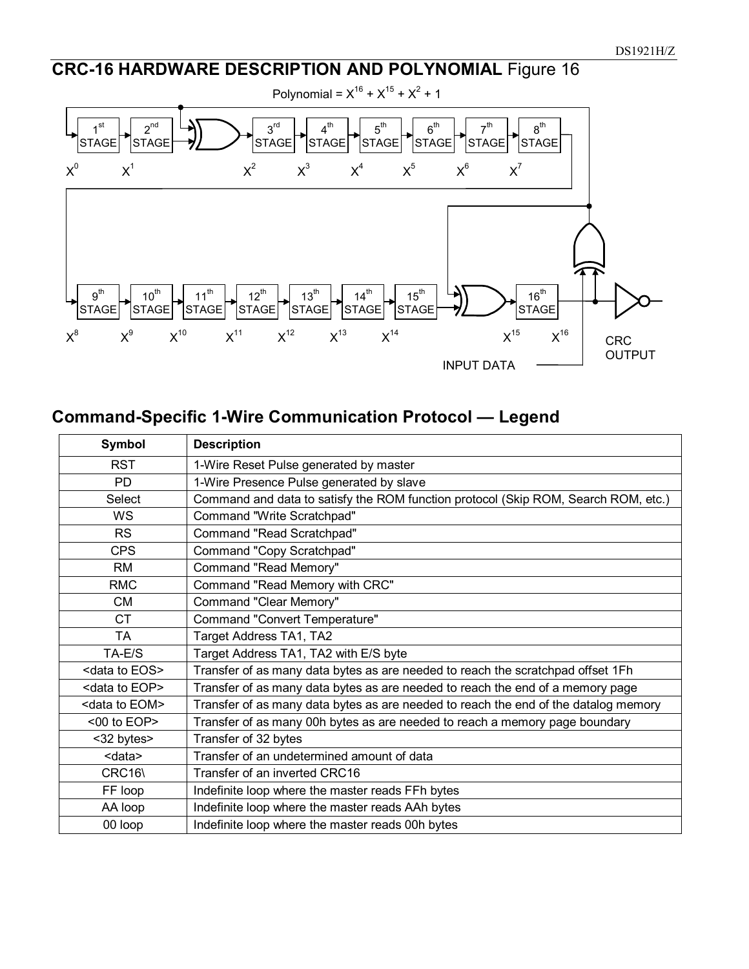## **CRC-16 HARDWARE DESCRIPTION AND POLYNOMIAL** Figure 16



### **Command-Specific 1-Wire Communication Protocol — Legend**

| Symbol                                                | <b>Description</b>                                                                  |  |  |
|-------------------------------------------------------|-------------------------------------------------------------------------------------|--|--|
| <b>RST</b>                                            | 1-Wire Reset Pulse generated by master                                              |  |  |
| 1-Wire Presence Pulse generated by slave<br><b>PD</b> |                                                                                     |  |  |
| Select                                                | Command and data to satisfy the ROM function protocol (Skip ROM, Search ROM, etc.)  |  |  |
| <b>WS</b>                                             | Command "Write Scratchpad"                                                          |  |  |
| <b>RS</b>                                             | Command "Read Scratchpad"                                                           |  |  |
| <b>CPS</b>                                            | Command "Copy Scratchpad"                                                           |  |  |
| <b>RM</b>                                             | Command "Read Memory"                                                               |  |  |
| <b>RMC</b>                                            | Command "Read Memory with CRC"                                                      |  |  |
| <b>CM</b>                                             | Command "Clear Memory"                                                              |  |  |
| <b>CT</b>                                             | Command "Convert Temperature"                                                       |  |  |
| <b>TA</b>                                             | Target Address TA1, TA2                                                             |  |  |
| TA-E/S                                                | Target Address TA1, TA2 with E/S byte                                               |  |  |
| <data eos="" to=""></data>                            | Transfer of as many data bytes as are needed to reach the scratchpad offset 1Fh     |  |  |
| <data eop="" to=""></data>                            | Transfer of as many data bytes as are needed to reach the end of a memory page      |  |  |
| <data eom="" to=""></data>                            | Transfer of as many data bytes as are needed to reach the end of the datalog memory |  |  |
| <00 to EOP>                                           | Transfer of as many 00h bytes as are needed to reach a memory page boundary         |  |  |
| <32 bytes>                                            | Transfer of 32 bytes                                                                |  |  |
| <data></data>                                         | Transfer of an undetermined amount of data                                          |  |  |
| CRC16\                                                | Transfer of an inverted CRC16                                                       |  |  |
| FF loop                                               | Indefinite loop where the master reads FFh bytes                                    |  |  |
| AA loop                                               | Indefinite loop where the master reads AAh bytes                                    |  |  |
| 00 loop                                               | Indefinite loop where the master reads 00h bytes                                    |  |  |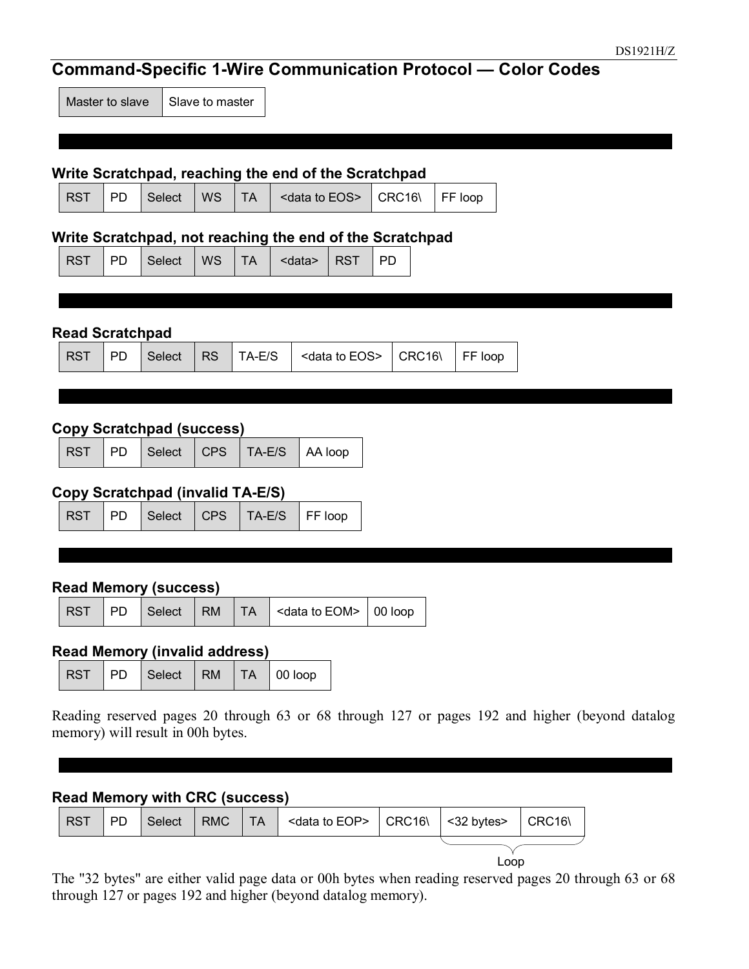## **Command-Specific 1-Wire Communication Protocol — Color Codes**

Master to slave  $\vert$  Slave to master

#### **Write Scratchpad, reaching the end of the Scratchpad**

|  |  |  |  |  |  | RST   PD   Select   WS   TA   <data eos="" to="">   CRC16\   FF loop</data> |  |  |
|--|--|--|--|--|--|-----------------------------------------------------------------------------|--|--|
|--|--|--|--|--|--|-----------------------------------------------------------------------------|--|--|

#### **Write Scratchpad, not reaching the end of the Scratchpad**

|  |  |  | RST   PD   Select   WS   TA   <data>   RST   PD</data> |  |  |
|--|--|--|--------------------------------------------------------|--|--|
|  |  |  |                                                        |  |  |

#### **Read Scratchpad**

|  | RST PD Select RS TA-E/S <data eos="" to=""> CRC16\ FF loop</data> |
|--|-------------------------------------------------------------------|
|--|-------------------------------------------------------------------|

#### **Copy Scratchpad (success)**

| RST PD Select CPS TA-E/S AA loop |  |  |
|----------------------------------|--|--|
|----------------------------------|--|--|

#### **Copy Scratchpad (invalid TA-E/S)**

|  |  |  |  | RST PD Select CPS TA-E/S FF loop |  |
|--|--|--|--|----------------------------------|--|
|--|--|--|--|----------------------------------|--|

#### **Read Memory (success)**

|  |  |  | $\vert$ RST $\vert$ PD $\vert$ Select $\vert$ RM $\vert$ TA $\vert$ <data eom="" to=""> <math>\vert</math> 00 loop</data> |  |
|--|--|--|---------------------------------------------------------------------------------------------------------------------------|--|
|  |  |  |                                                                                                                           |  |

#### **Read Memory (invalid address)**

| RST   PD   Select   RM   TA   00 loop |  |  |  |
|---------------------------------------|--|--|--|
|---------------------------------------|--|--|--|

Reading reserved pages 20 through 63 or 68 through 127 or pages 192 and higher (beyond datalog memory) will result in 00h bytes.

#### **Read Memory with CRC (success)**



Loop

The "32 bytes" are either valid page data or 00h bytes when reading reserved pages 20 through 63 or 68 through 127 or pages 192 and higher (beyond datalog memory).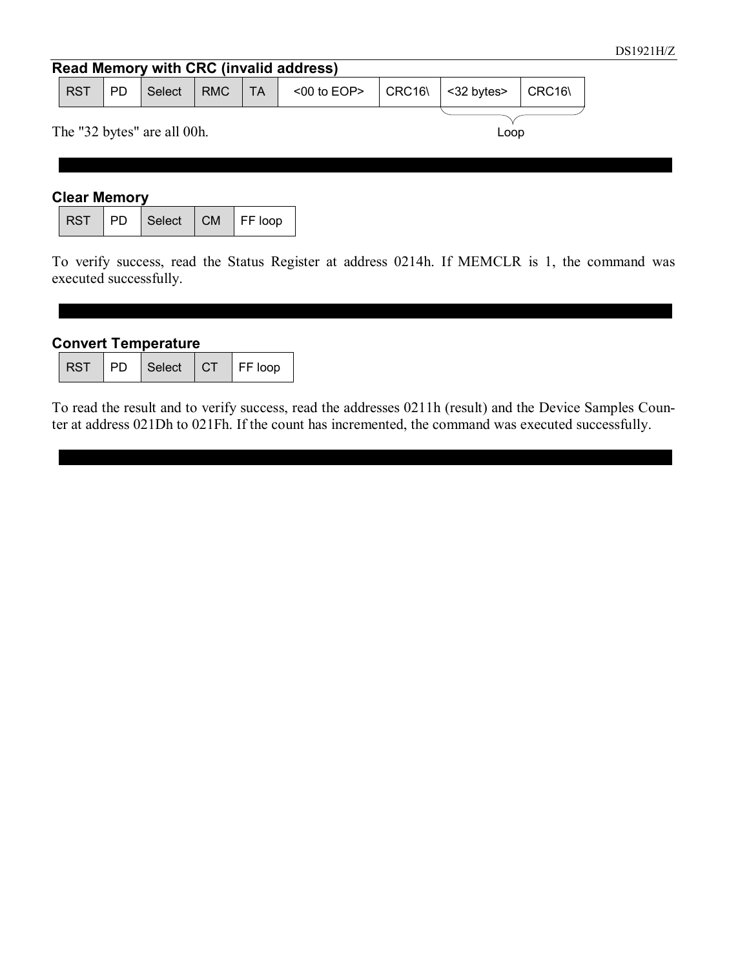#### **Read Memory with CRC (invalid address)** RST | PD | Select | RMC | TA | <00 to EOP> | CRC16\ | <32 bytes> | CRC16\ The "32 bytes" are all 00h. Loop

#### **Clear Memory**

|  | RST PD Select CM FF loop |  |
|--|--------------------------|--|

To verify success, read the Status Register at address 0214h. If MEMCLR is 1, the command was executed successfully.

#### **Convert Temperature**

|  |  | RST PD Select | $\overline{\phantom{a}}$ CT | $\mathsf{F}$ FF loop |
|--|--|---------------|-----------------------------|----------------------|
|--|--|---------------|-----------------------------|----------------------|

To read the result and to verify success, read the addresses 0211h (result) and the Device Samples Counter at address 021Dh to 021Fh. If the count has incremented, the command was executed successfully.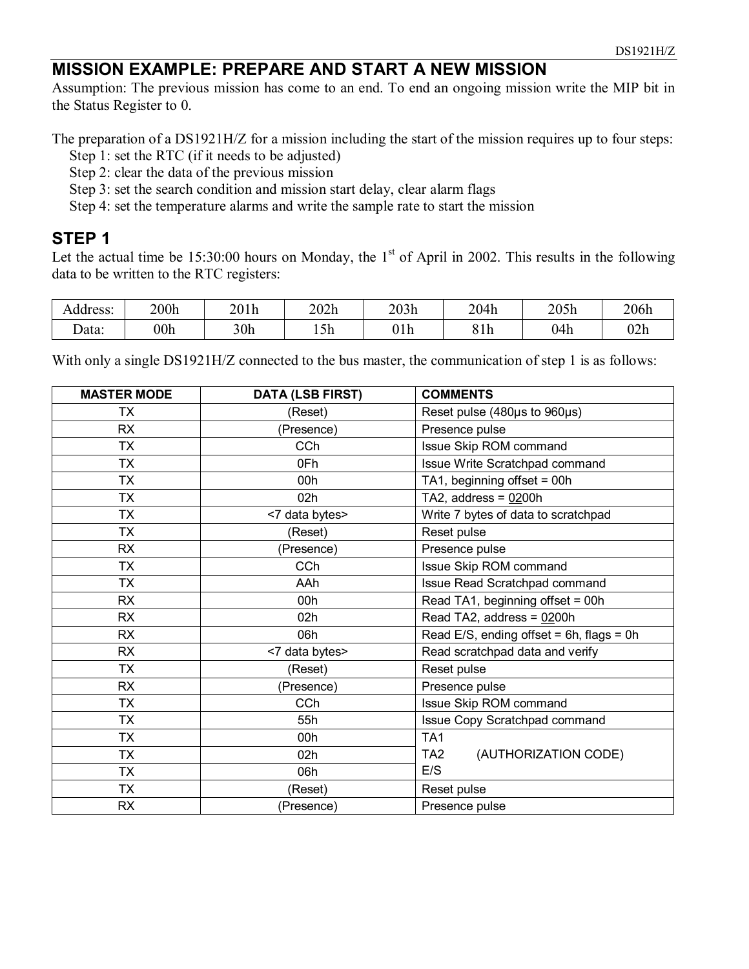#### **MISSION EXAMPLE: PREPARE AND START A NEW MISSION**

Assumption: The previous mission has come to an end. To end an ongoing mission write the MIP bit in the Status Register to 0.

The preparation of a DS1921H/Z for a mission including the start of the mission requires up to four steps:

- Step 1: set the RTC (if it needs to be adjusted)
- Step 2: clear the data of the previous mission
- Step 3: set the search condition and mission start delay, clear alarm flags
- Step 4: set the temperature alarms and write the sample rate to start the mission

#### **STEP 1**

Let the actual time be  $15:30:00$  hours on Monday, the 1<sup>st</sup> of April in 2002. This results in the following data to be written to the RTC registers:

| Address: | 200h | 201h | 202h        | 203h              | 204h | 205h | 206h |
|----------|------|------|-------------|-------------------|------|------|------|
| Jata:    | 00h  | 30h  | $-1$<br>15h | $\sim$ 1.1<br>uru | 81h  | 04h  | 02h  |

With only a single DS1921H/Z connected to the bus master, the communication of step 1 is as follows:

| <b>MASTER MODE</b> | <b>DATA (LSB FIRST)</b> | <b>COMMENTS</b>                               |
|--------------------|-------------------------|-----------------------------------------------|
| ТX                 | (Reset)                 | Reset pulse (480µs to 960µs)                  |
| <b>RX</b>          | (Presence)              | Presence pulse                                |
| <b>TX</b>          | CCh                     | Issue Skip ROM command                        |
| <b>TX</b>          | 0Fh                     | Issue Write Scratchpad command                |
| <b>TX</b>          | 00h                     | TA1, beginning offset = 00h                   |
| <b>TX</b>          | 02h                     | TA2, address = $0200h$                        |
| <b>TX</b>          | <7 data bytes>          | Write 7 bytes of data to scratchpad           |
| <b>TX</b>          | (Reset)                 | Reset pulse                                   |
| <b>RX</b>          | (Presence)              | Presence pulse                                |
| <b>TX</b>          | CCh                     | Issue Skip ROM command                        |
| <b>TX</b>          | AAh                     | Issue Read Scratchpad command                 |
| <b>RX</b>          | 00h                     | Read TA1, beginning offset = 00h              |
| <b>RX</b>          | 02h                     | Read TA2, address = $0200h$                   |
| <b>RX</b>          | 06h                     | Read E/S, ending offset = $6h$ , flags = $0h$ |
| <b>RX</b>          | <7 data bytes>          | Read scratchpad data and verify               |
| <b>TX</b>          | (Reset)                 | Reset pulse                                   |
| <b>RX</b>          | (Presence)              | Presence pulse                                |
| <b>TX</b>          | CCh                     | Issue Skip ROM command                        |
| ТX                 | 55h                     | Issue Copy Scratchpad command                 |
| ТX                 | 00h                     | TA <sub>1</sub>                               |
| <b>TX</b>          | 02h                     | TA2<br>(AUTHORIZATION CODE)                   |
| <b>TX</b>          | 06h                     | E/S                                           |
| <b>TX</b>          | (Reset)                 | Reset pulse                                   |
| <b>RX</b>          | (Presence)              | Presence pulse                                |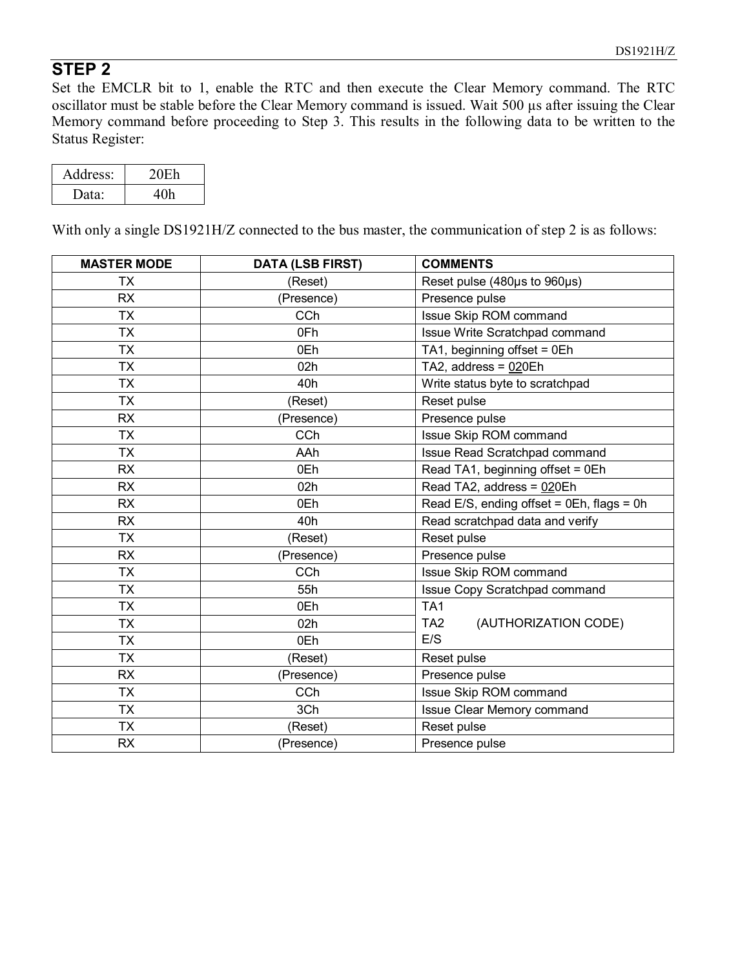#### **STEP 2**

Set the EMCLR bit to 1, enable the RTC and then execute the Clear Memory command. The RTC oscillator must be stable before the Clear Memory command is issued. Wait 500 µs after issuing the Clear Memory command before proceeding to Step 3. This results in the following data to be written to the Status Register:

| Address:          | 20E <sub>h</sub> |
|-------------------|------------------|
| Data <sup>2</sup> | 40h              |

With only a single DS1921H/Z connected to the bus master, the communication of step 2 is as follows:

| <b>MASTER MODE</b> | <b>DATA (LSB FIRST)</b> | <b>COMMENTS</b>                              |
|--------------------|-------------------------|----------------------------------------------|
| <b>TX</b>          | (Reset)                 | Reset pulse (480µs to 960µs)                 |
| <b>RX</b>          | (Presence)              | Presence pulse                               |
| <b>TX</b>          | CCh                     | Issue Skip ROM command                       |
| <b>TX</b>          | 0Fh                     | Issue Write Scratchpad command               |
| <b>TX</b>          | 0Eh                     | TA1, beginning offset = 0Eh                  |
| <b>TX</b>          | 02h                     | TA2, address = 020Eh                         |
| <b>TX</b>          | 40h                     | Write status byte to scratchpad              |
| <b>TX</b>          | (Reset)                 | Reset pulse                                  |
| <b>RX</b>          | (Presence)              | Presence pulse                               |
| <b>TX</b>          | CCh                     | Issue Skip ROM command                       |
| <b>TX</b>          | AAh                     | Issue Read Scratchpad command                |
| <b>RX</b>          | 0Eh                     | Read TA1, beginning offset = 0Eh             |
| <b>RX</b>          | 02h                     | Read TA2, address = 020Eh                    |
| <b>RX</b>          | 0Eh                     | Read E/S, ending offset = $0Eh$ , flags = 0h |
| <b>RX</b>          | 40h                     | Read scratchpad data and verify              |
| <b>TX</b>          | (Reset)                 | Reset pulse                                  |
| <b>RX</b>          | (Presence)              | Presence pulse                               |
| <b>TX</b>          | CCh                     | Issue Skip ROM command                       |
| <b>TX</b>          | 55h                     | Issue Copy Scratchpad command                |
| <b>TX</b>          | 0Eh                     | TA <sub>1</sub>                              |
| <b>TX</b>          | 02h                     | (AUTHORIZATION CODE)<br>TA2                  |
| <b>TX</b>          | 0Eh                     | E/S                                          |
| <b>TX</b>          | (Reset)                 | Reset pulse                                  |
| <b>RX</b>          | (Presence)              | Presence pulse                               |
| <b>TX</b>          | CCh                     | Issue Skip ROM command                       |
| <b>TX</b>          | 3Ch                     | Issue Clear Memory command                   |
| <b>TX</b>          | (Reset)                 | Reset pulse                                  |
| <b>RX</b>          | (Presence)              | Presence pulse                               |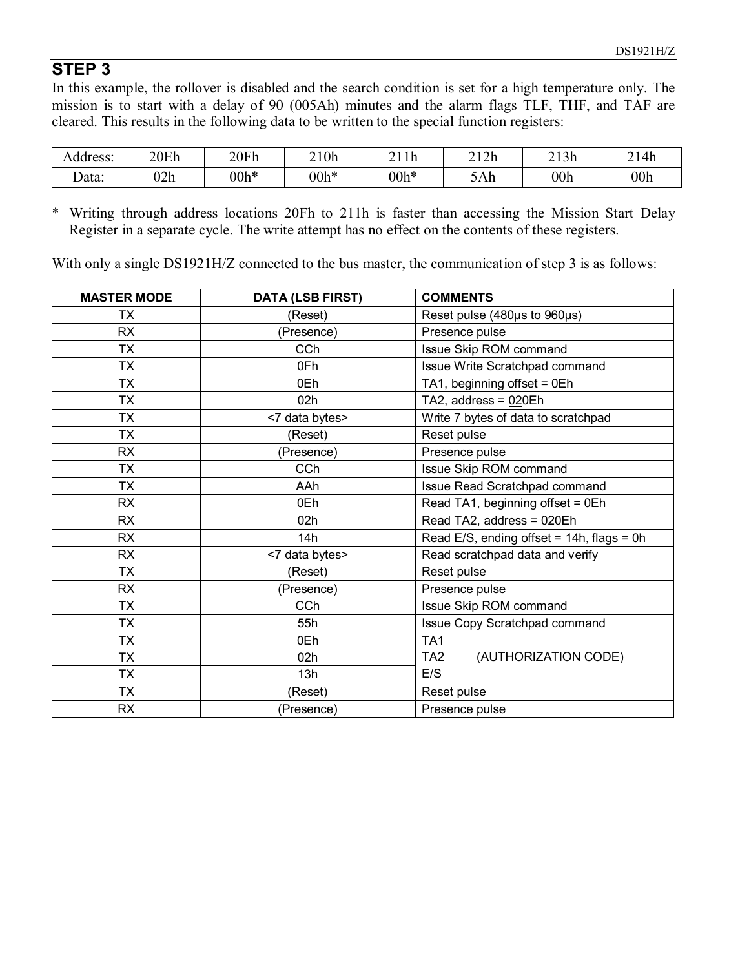### **STEP 3**

In this example, the rollover is disabled and the search condition is set for a high temperature only. The mission is to start with a delay of 90 (005Ah) minutes and the alarm flags TLF, THF, and TAF are cleared. This results in the following data to be written to the special function registers:

| Address:            | 20Eh | 20Fh   | 210h   | 111<br>ıп | 212h | 213h | 214h            |
|---------------------|------|--------|--------|-----------|------|------|-----------------|
| $\sqrt{2}$<br>Data: | 02h  | $00h*$ | $00h*$ | $00h*$    | 5Ah  | 00h  | 00 <sub>h</sub> |

\* Writing through address locations 20Fh to 211h is faster than accessing the Mission Start Delay Register in a separate cycle. The write attempt has no effect on the contents of these registers.

With only a single DS1921H/Z connected to the bus master, the communication of step 3 is as follows:

| <b>MASTER MODE</b> | <b>DATA (LSB FIRST)</b> | <b>COMMENTS</b>                              |
|--------------------|-------------------------|----------------------------------------------|
| ТX                 | (Reset)                 | Reset pulse (480µs to 960µs)                 |
| RX                 | (Presence)              | Presence pulse                               |
| <b>TX</b>          | CCh                     | Issue Skip ROM command                       |
| <b>TX</b>          | 0Fh                     | Issue Write Scratchpad command               |
| <b>TX</b>          | 0Eh                     | TA1, beginning offset = 0Eh                  |
| <b>TX</b>          | 02h                     | TA2, address = $020Eh$                       |
| <b>TX</b>          | <7 data bytes>          | Write 7 bytes of data to scratchpad          |
| <b>TX</b>          | (Reset)                 | Reset pulse                                  |
| RX                 | (Presence)              | Presence pulse                               |
| <b>TX</b>          | <b>CCh</b>              | Issue Skip ROM command                       |
| <b>TX</b>          | AAh                     | Issue Read Scratchpad command                |
| <b>RX</b>          | 0Eh                     | Read TA1, beginning offset = 0Eh             |
| <b>RX</b>          | 02h                     | Read TA2, address = 020Eh                    |
| <b>RX</b>          | 14h                     | Read E/S, ending offset = $14h$ , flags = 0h |
| <b>RX</b>          | <7 data bytes>          | Read scratchpad data and verify              |
| <b>TX</b>          | (Reset)                 | Reset pulse                                  |
| <b>RX</b>          | (Presence)              | Presence pulse                               |
| <b>TX</b>          | CCh                     | Issue Skip ROM command                       |
| <b>TX</b>          | 55h                     | Issue Copy Scratchpad command                |
| <b>TX</b>          | 0Eh                     | TA <sub>1</sub>                              |
| <b>TX</b>          | 02h                     | (AUTHORIZATION CODE)<br>TA2                  |
| <b>TX</b>          | 13h                     | E/S                                          |
| <b>TX</b>          | (Reset)                 | Reset pulse                                  |
| <b>RX</b>          | (Presence)              | Presence pulse                               |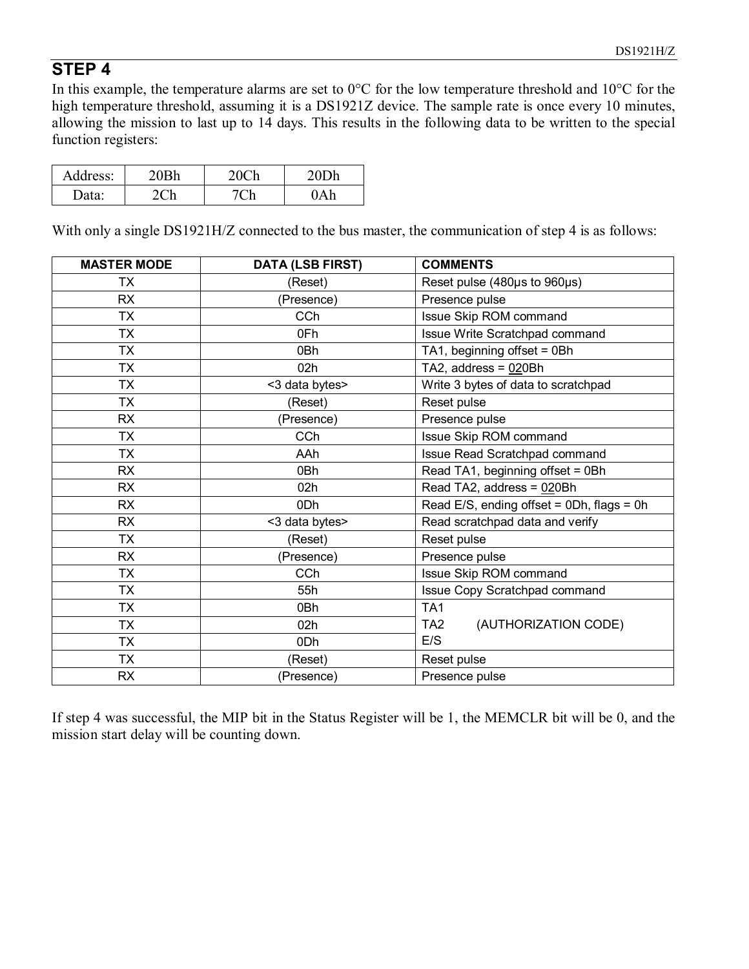### **STEP 4**

In this example, the temperature alarms are set to 0°C for the low temperature threshold and 10°C for the high temperature threshold, assuming it is a DS1921Z device. The sample rate is once every 10 minutes, allowing the mission to last up to 14 days. This results in the following data to be written to the special function registers:

| Address: |  |  |
|----------|--|--|
| )ata:    |  |  |

With only a single DS1921H/Z connected to the bus master, the communication of step 4 is as follows:

| <b>MASTER MODE</b> | <b>DATA (LSB FIRST)</b> | <b>COMMENTS</b>                              |
|--------------------|-------------------------|----------------------------------------------|
| ТX                 | (Reset)                 | Reset pulse (480µs to 960µs)                 |
| <b>RX</b>          | (Presence)              | Presence pulse                               |
| <b>TX</b>          | CCh                     | Issue Skip ROM command                       |
| <b>TX</b>          | 0Fh                     | Issue Write Scratchpad command               |
| <b>TX</b>          | 0Bh                     | TA1, beginning offset = 0Bh                  |
| <b>TX</b>          | 02h                     | TA2, address = $020Bh$                       |
| <b>TX</b>          | <3 data bytes>          | Write 3 bytes of data to scratchpad          |
| <b>TX</b>          | (Reset)                 | Reset pulse                                  |
| <b>RX</b>          | (Presence)              | Presence pulse                               |
| <b>TX</b>          | CCh                     | Issue Skip ROM command                       |
| <b>TX</b>          | AAh                     | Issue Read Scratchpad command                |
| <b>RX</b>          | 0Bh                     | Read TA1, beginning offset = 0Bh             |
| <b>RX</b>          | 02h                     | Read TA2, address = 020Bh                    |
| <b>RX</b>          | 0Dh                     | Read E/S, ending offset = $0Dh$ , flags = 0h |
| <b>RX</b>          | <3 data bytes>          | Read scratchpad data and verify              |
| <b>TX</b>          | (Reset)                 | Reset pulse                                  |
| <b>RX</b>          | (Presence)              | Presence pulse                               |
| <b>TX</b>          | CCh                     | Issue Skip ROM command                       |
| <b>TX</b>          | 55h                     | Issue Copy Scratchpad command                |
| <b>TX</b>          | 0Bh                     | TA1                                          |
| <b>TX</b>          | 02h                     | TA2<br>(AUTHORIZATION CODE)                  |
| <b>TX</b>          | 0Dh                     | E/S                                          |
| <b>TX</b>          | (Reset)                 | Reset pulse                                  |
| <b>RX</b>          | (Presence)              | Presence pulse                               |

If step 4 was successful, the MIP bit in the Status Register will be 1, the MEMCLR bit will be 0, and the mission start delay will be counting down.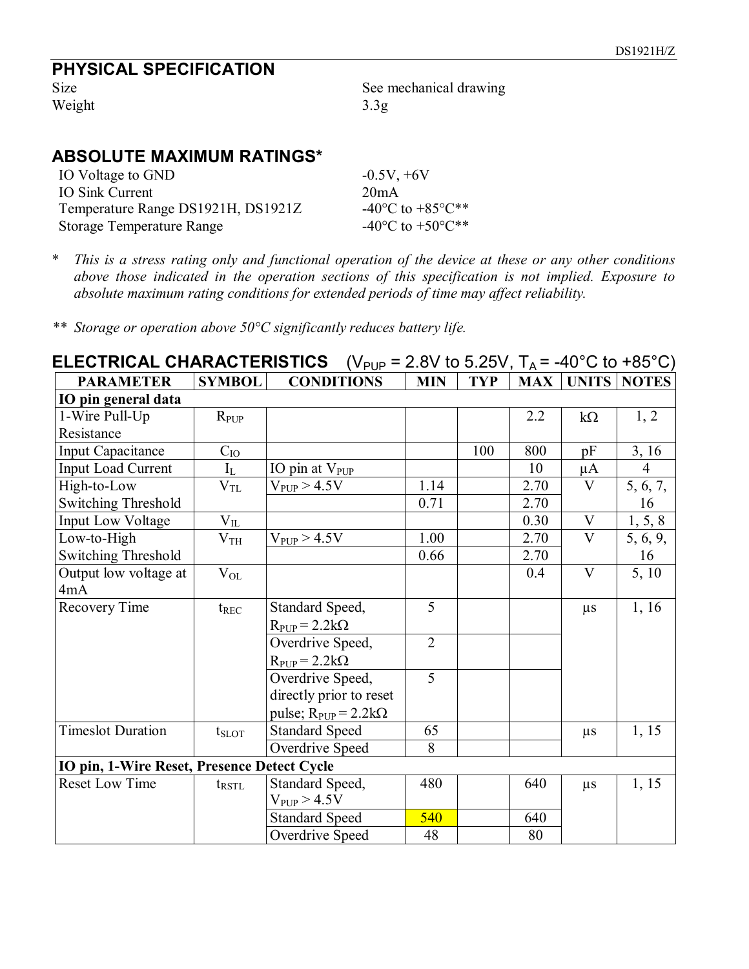# **PHYSICAL SPECIFICATION**

Weight 3.3g

See mechanical drawing

#### **ABSOLUTE MAXIMUM RATINGS\***

| IO Voltage to GND                  | $-0.5V, +6V$                               |
|------------------------------------|--------------------------------------------|
| IO Sink Current                    | 20mA                                       |
| Temperature Range DS1921H, DS1921Z | -40 <sup>o</sup> C to +85 <sup>o</sup> C** |
| <b>Storage Temperature Range</b>   | -40 <sup>o</sup> C to +50 <sup>o</sup> C** |

\* *This is a stress rating only and functional operation of the device at these or any other conditions above those indicated in the operation sections of this specification is not implied. Exposure to absolute maximum rating conditions for extended periods of time may affect reliability.* 

*\*\* Storage or operation above 50°C significantly reduces battery life.* 

| (V <sub>PUP</sub> = 2.8V to 5.25V, T <sub>A</sub> = -40°C to +85°C)<br><b>ELECTRICAL CHARACTERISTICS</b> |                   |                               |                |            |            |                         |                |  |  |
|----------------------------------------------------------------------------------------------------------|-------------------|-------------------------------|----------------|------------|------------|-------------------------|----------------|--|--|
| <b>PARAMETER</b>                                                                                         | <b>SYMBOL</b>     | <b>CONDITIONS</b>             | <b>MIN</b>     | <b>TYP</b> | <b>MAX</b> | <b>UNITS</b>            | <b>NOTES</b>   |  |  |
| IO pin general data                                                                                      |                   |                               |                |            |            |                         |                |  |  |
| 1-Wire Pull-Up                                                                                           | $R_{PUP}$         |                               |                |            | 2.2        | $k\Omega$               | 1, 2           |  |  |
| Resistance                                                                                               |                   |                               |                |            |            |                         |                |  |  |
| <b>Input Capacitance</b>                                                                                 | $C_{IO}$          |                               |                | 100        | 800        | pF                      | 3, 16          |  |  |
| Input Load Current                                                                                       | $I_{L}$           | IO pin at $V_{\text{PUP}}$    |                |            | 10         | $\mu A$                 | $\overline{4}$ |  |  |
| High-to-Low                                                                                              | $\rm V_{TL}$      | $V_{PUP} > 4.5V$              | 1.14           |            | 2.70       | $\overline{V}$          | 5, 6, 7,       |  |  |
| <b>Switching Threshold</b>                                                                               |                   |                               | 0.71           |            | 2.70       |                         | 16             |  |  |
| <b>Input Low Voltage</b>                                                                                 | $\rm V_{II}$      |                               |                |            | 0.30       | $\mathbf V$             | 1, 5, 8        |  |  |
| Low-to-High                                                                                              | $\rm V_{TH}$      | $V_{PUP} > 4.5V$              | 1.00           |            | 2.70       | $\overline{\mathbf{V}}$ | 5, 6, 9,       |  |  |
| Switching Threshold                                                                                      |                   |                               | 0.66           |            | 2.70       |                         | 16             |  |  |
| Output low voltage at                                                                                    | $V_{OL}$          |                               |                |            | 0.4        | $\mathbf{V}$            | 5, 10          |  |  |
| 4mA                                                                                                      |                   |                               |                |            |            |                         |                |  |  |
| Recovery Time                                                                                            | $t_{REC}$         | Standard Speed,               | $\overline{5}$ |            |            | $\mu s$                 | 1, 16          |  |  |
|                                                                                                          |                   | $R_{PUP} = 2.2k\Omega$        |                |            |            |                         |                |  |  |
|                                                                                                          |                   | Overdrive Speed,              | $\overline{2}$ |            |            |                         |                |  |  |
|                                                                                                          |                   | $R_{PUP} = 2.2k\Omega$        |                |            |            |                         |                |  |  |
|                                                                                                          |                   | Overdrive Speed,              | 5              |            |            |                         |                |  |  |
|                                                                                                          |                   | directly prior to reset       |                |            |            |                         |                |  |  |
|                                                                                                          |                   | pulse; $R_{PUP} = 2.2k\Omega$ |                |            |            |                         |                |  |  |
| <b>Timeslot Duration</b>                                                                                 | $t_{SLOT}$        | <b>Standard Speed</b>         | 65             |            |            | $\mu s$                 | 1, 15          |  |  |
|                                                                                                          |                   | Overdrive Speed               | 8              |            |            |                         |                |  |  |
| IO pin, 1-Wire Reset, Presence Detect Cycle                                                              |                   |                               |                |            |            |                         |                |  |  |
| Reset Low Time                                                                                           | $t_{\text{RSTL}}$ | Standard Speed,               | 480            |            | 640        | $\mu s$                 | 1, 15          |  |  |
|                                                                                                          |                   | $V_{PUP} > 4.5V$              |                |            |            |                         |                |  |  |
|                                                                                                          |                   | <b>Standard Speed</b>         | 540            |            | 640        |                         |                |  |  |
|                                                                                                          |                   | Overdrive Speed               | 48             |            | 80         |                         |                |  |  |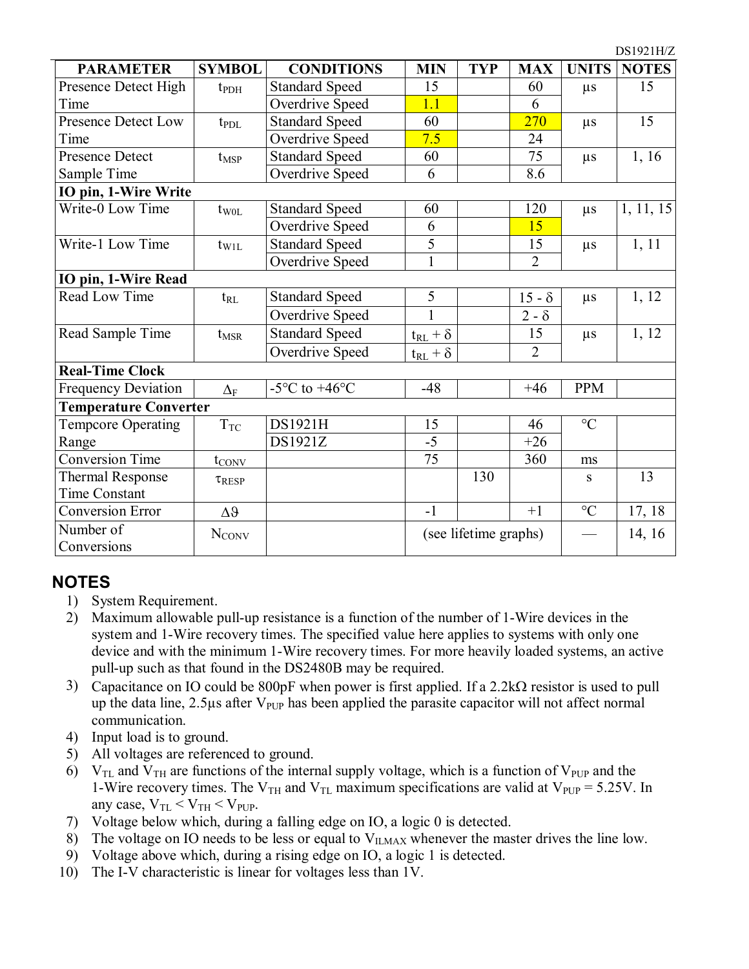|                              |                     |                                   |                   |                       |                |                 | <i>D</i> 01741114 |
|------------------------------|---------------------|-----------------------------------|-------------------|-----------------------|----------------|-----------------|-------------------|
| <b>PARAMETER</b>             | <b>SYMBOL</b>       | <b>CONDITIONS</b>                 | <b>MIN</b>        | <b>TYP</b>            | <b>MAX</b>     | <b>UNITS</b>    | <b>NOTES</b>      |
| Presence Detect High         | t <sub>PDH</sub>    | <b>Standard Speed</b>             | 15                |                       | 60             | $\mu s$         | 15                |
| Time                         |                     | Overdrive Speed                   | 1.1               |                       | 6              |                 |                   |
| <b>Presence Detect Low</b>   | $t_{PDL}$           | <b>Standard Speed</b>             | 60                |                       | 270            | $\mu s$         | 15                |
| Time                         |                     | Overdrive Speed                   | 7.5               |                       | 24             |                 |                   |
| <b>Presence Detect</b>       | $t_{\text{MSP}}$    | Standard Speed                    | 60                |                       | 75             | $\mu s$         | 1, 16             |
| Sample Time                  |                     | Overdrive Speed                   | 6                 |                       | 8.6            |                 |                   |
| IO pin, 1-Wire Write         |                     |                                   |                   |                       |                |                 |                   |
| Write-0 Low Time             | $t_{W0L}$           | <b>Standard Speed</b>             | 60                |                       | 120            | $\mu s$         | 1, 11, 15         |
|                              |                     | Overdrive Speed                   | 6                 |                       | 15             |                 |                   |
| Write-1 Low Time             | $t_{\rm W1L}$       | <b>Standard Speed</b>             | $\overline{5}$    |                       | 15             | $\mu s$         | 1, 11             |
|                              |                     | Overdrive Speed                   | $\mathbf{1}$      |                       | $\overline{2}$ |                 |                   |
| IO pin, 1-Wire Read          |                     |                                   |                   |                       |                |                 |                   |
| Read Low Time                | $t_{RL}$            | <b>Standard Speed</b>             | 5                 |                       | $15 - \delta$  | $\mu s$         | 1, 12             |
|                              |                     | Overdrive Speed                   |                   |                       | $2 - \delta$   |                 |                   |
| Read Sample Time             | $t_{\text{MSR}}$    | Standard Speed                    | $t_{RL} + \delta$ |                       | 15             | $\mu s$         | 1, 12             |
|                              |                     | Overdrive Speed                   | $t_{RL} + \delta$ |                       | $\overline{2}$ |                 |                   |
| <b>Real-Time Clock</b>       |                     |                                   |                   |                       |                |                 |                   |
| <b>Frequency Deviation</b>   | $\Delta_{\text{F}}$ | $-5^{\circ}$ C to $+46^{\circ}$ C | $-48$             |                       | $+46$          | <b>PPM</b>      |                   |
| <b>Temperature Converter</b> |                     |                                   |                   |                       |                |                 |                   |
| <b>Tempcore Operating</b>    | $T_{\rm TC}$        | DS1921H                           | 15                |                       | 46             | $\rm ^{\circ}C$ |                   |
| Range                        |                     | DS1921Z                           | $-5$              |                       | $+26$          |                 |                   |
| <b>Conversion Time</b>       | $t_{\text{CONV}}$   |                                   | 75                |                       | 360            | ms              |                   |
| <b>Thermal Response</b>      | $\tau_{\rm{RESP}}$  |                                   |                   | 130                   |                | S               | 13                |
| <b>Time Constant</b>         |                     |                                   |                   |                       |                |                 |                   |
| <b>Conversion Error</b>      | $\Delta \vartheta$  |                                   | $-1$              |                       | $+1$           | $^{\circ}C$     | 17, 18            |
| Number of                    | <b>NCONV</b>        |                                   |                   | (see lifetime graphs) |                |                 | 14, 16            |
| Conversions                  |                     |                                   |                   |                       |                |                 |                   |

DS1021H/Z

#### **NOTES**

- 1) System Requirement.
- 2) Maximum allowable pull-up resistance is a function of the number of 1-Wire devices in the system and 1-Wire recovery times. The specified value here applies to systems with only one device and with the minimum 1-Wire recovery times. For more heavily loaded systems, an active pull-up such as that found in the DS2480B may be required.
- 3) Capacitance on IO could be 800pF when power is first applied. If a 2.2kΩ resistor is used to pull up the data line,  $2.5\mu s$  after  $V_{\text{PUP}}$  has been applied the parasite capacitor will not affect normal communication.
- 4) Input load is to ground.
- 5) All voltages are referenced to ground.
- 6)  $V_{TL}$  and  $V_{TH}$  are functions of the internal supply voltage, which is a function of  $V_{PUP}$  and the 1-Wire recovery times. The  $V_{TH}$  and  $V_{TL}$  maximum specifications are valid at  $V_{PUP} = 5.25V$ . In any case,  $V_{TL} < V_{TH} < V_{PUP}$ .
- 7) Voltage below which, during a falling edge on IO, a logic 0 is detected.
- 8) The voltage on IO needs to be less or equal to  $V_{\text{ILMAX}}$  whenever the master drives the line low.
- 9) Voltage above which, during a rising edge on IO, a logic 1 is detected.
- 10) The I-V characteristic is linear for voltages less than 1V.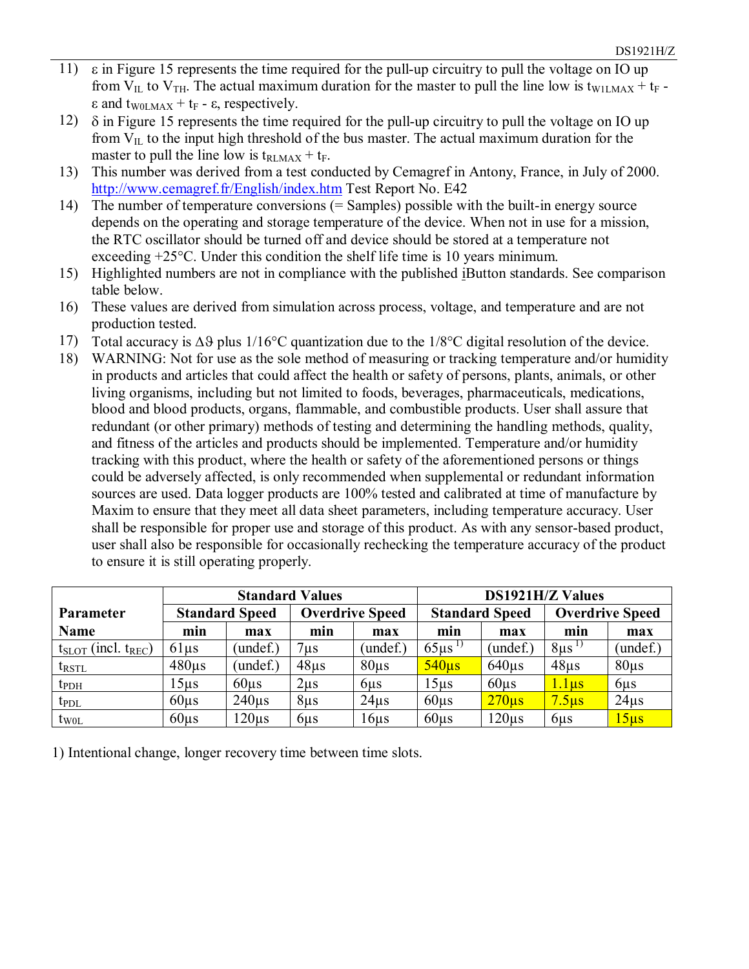- 11) ε in Figure 15 represents the time required for the pull-up circuitry to pull the voltage on IO up from  $V_{IL}$  to  $V_{TH}$ . The actual maximum duration for the master to pull the line low is t<sub>W1LMAX</sub> + t<sub>F</sub> - $\epsilon$  and t<sub>W0LMAX</sub> + t<sub>F</sub> -  $\epsilon$ , respectively.
- 12)  $\delta$  in Figure 15 represents the time required for the pull-up circuitry to pull the voltage on IO up from  $V_{IL}$  to the input high threshold of the bus master. The actual maximum duration for the master to pull the line low is  $t_{\text{RLMAX}} + t_{\text{F}}$ .
- 13) This number was derived from a test conducted by Cemagref in Antony, France, in July of 2000. <http://www.cemagref.fr/English/index.htm> Test Report No. E42
- 14) The number of temperature conversions (= Samples) possible with the built-in energy source depends on the operating and storage temperature of the device. When not in use for a mission, the RTC oscillator should be turned off and device should be stored at a temperature not exceeding +25°C. Under this condition the shelf life time is 10 years minimum.
- 15) Highlighted numbers are not in compliance with the published iButton standards. See comparison table below.
- 16) These values are derived from simulation across process, voltage, and temperature and are not production tested.
- 17) Total accuracy is ∆ϑ plus 1/16°C quantization due to the 1/8°C digital resolution of the device.
- 18) WARNING: Not for use as the sole method of measuring or tracking temperature and/or humidity in products and articles that could affect the health or safety of persons, plants, animals, or other living organisms, including but not limited to foods, beverages, pharmaceuticals, medications, blood and blood products, organs, flammable, and combustible products. User shall assure that redundant (or other primary) methods of testing and determining the handling methods, quality, and fitness of the articles and products should be implemented. Temperature and/or humidity tracking with this product, where the health or safety of the aforementioned persons or things could be adversely affected, is only recommended when supplemental or redundant information sources are used. Data logger products are 100% tested and calibrated at time of manufacture by Maxim to ensure that they meet all data sheet parameters, including temperature accuracy. User shall be responsible for proper use and storage of this product. As with any sensor-based product, user shall also be responsible for occasionally rechecking the temperature accuracy of the product to ensure it is still operating properly.

|                               | <b>Standard Values</b>                          |            |                 |                       | <b>DS1921H/Z Values</b> |                        |                   |                  |
|-------------------------------|-------------------------------------------------|------------|-----------------|-----------------------|-------------------------|------------------------|-------------------|------------------|
| <b>Parameter</b>              | <b>Overdrive Speed</b><br><b>Standard Speed</b> |            |                 | <b>Standard Speed</b> |                         | <b>Overdrive Speed</b> |                   |                  |
| <b>Name</b>                   | min                                             | max        | min             | max                   | min                     | max                    |                   | max              |
| $t_{SLOT}$ (incl. $t_{REC}$ ) | $61\mu s$                                       | (undef.)   | $7 \mu s$       | (undef.)              | $65 \mu s^{1}$          | $($ undef. $)$         | $8\mu s^{1}$      | (undef.)         |
| $t_{\text{RSTL}}$             | $480\mu s$                                      | (undef.)   | $48\mu s$       | $80\mu s$             | $540\mu s$              | $640\mu s$             | $48\mu s$         | $80\mu s$        |
| $t_{\rm{PDH}}$                | 15µs                                            | $60\mu s$  | $2\mu s$        | 6 <sub>µ</sub>        | 15 <sub>µ</sub> s       | $60\mu s$              | <u>1.1µs</u>      | $6\mu s$         |
| $t_{PDL}$                     | $60\mu s$                                       | $240\mu s$ | $8\mu s$        | $24\mu s$             | $60\mu s$               | $270\mu s$             | 7.5 <sub>us</sub> | $24\mu s$        |
| $t_{W0L}$                     | $60\mu s$                                       | $120\mu s$ | 6 <sub>µs</sub> | $16\mu s$             | $60\mu s$               | $120\mu s$             | $6\mu s$          | 15 <sub>us</sub> |

1) Intentional change, longer recovery time between time slots.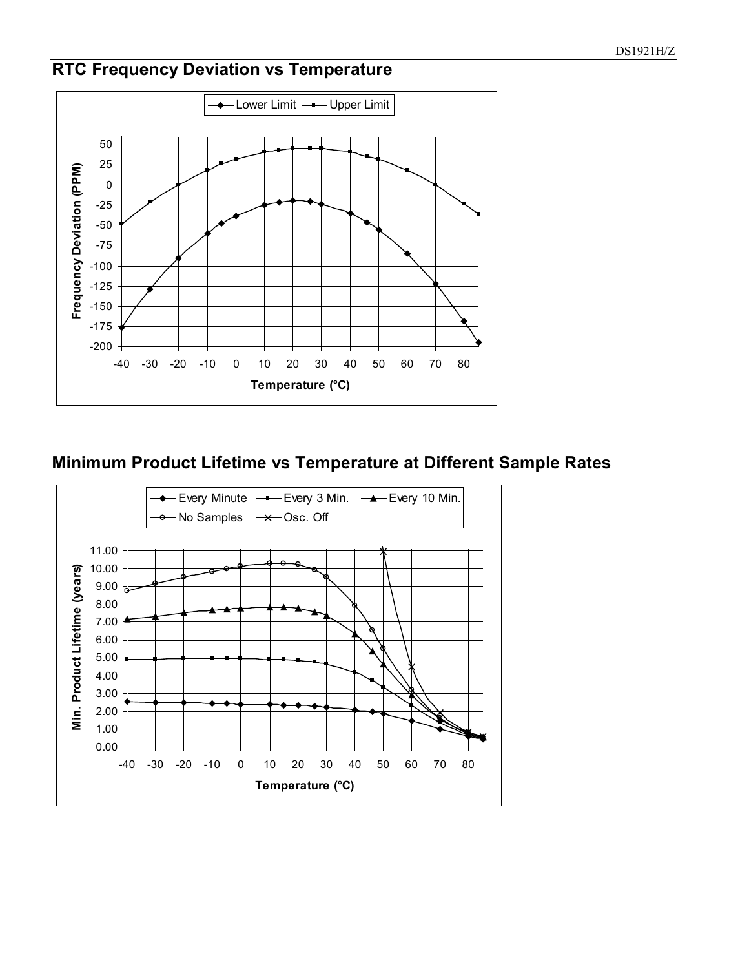### **RTC Frequency Deviation vs Temperature**



#### **Minimum Product Lifetime vs Temperature at Different Sample Rates**

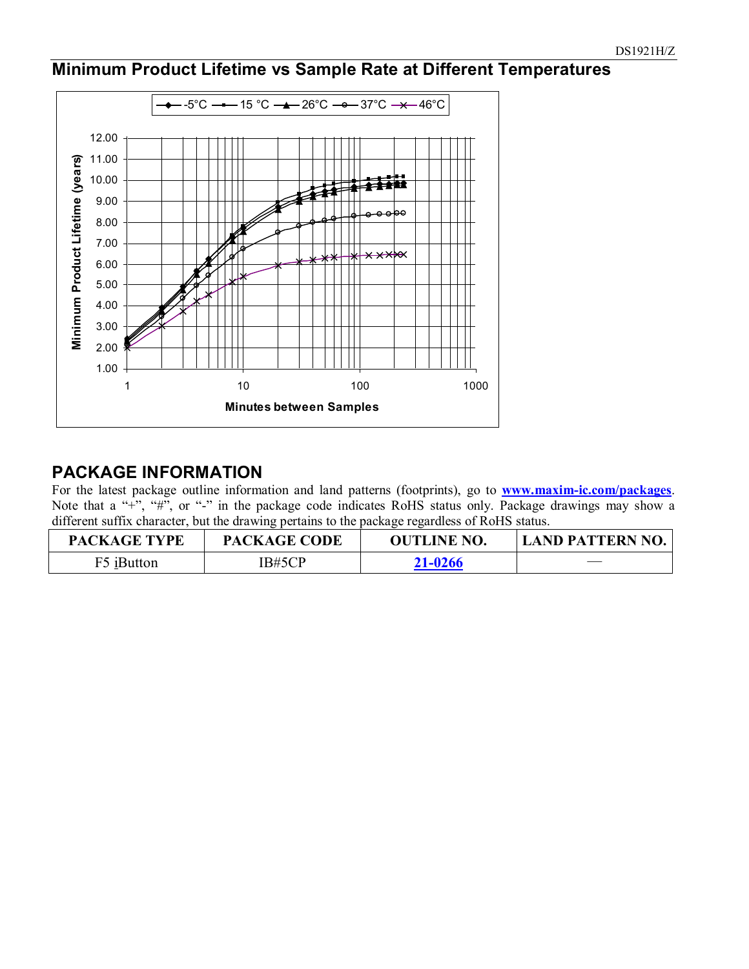#### **Minimum Product Lifetime vs Sample Rate at Different Temperatures**



#### **PACKAGE INFORMATION**

For the latest package outline information and land patterns (footprints), go to **[www.maxim-ic.com/packages](http://www.maxim-ic.com/packages)**. Note that a "+", "#", or "-" in the package code indicates RoHS status only. Package drawings may show a different suffix character, but the drawing pertains to the package regardless of RoHS status.

| <b>PACKAGE TYPE</b> | <b>PACKAGE CODE</b> | <b>OUTLINE NO.</b> | <b>LAND PATTERN NO.</b>  |
|---------------------|---------------------|--------------------|--------------------------|
| F5 iButton          | IB#5CP              | 21-0266            | $\overline{\phantom{a}}$ |